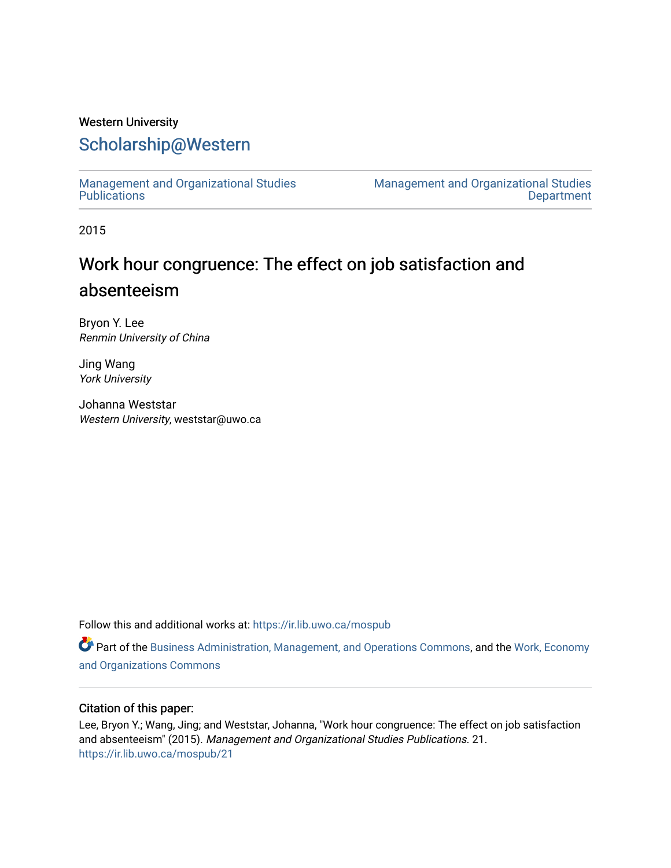# Western University

# [Scholarship@Western](https://ir.lib.uwo.ca/)

[Management and Organizational Studies](https://ir.lib.uwo.ca/mospub)  **Publications** 

[Management and Organizational Studies](https://ir.lib.uwo.ca/mos)  **Department** 

2015

# Work hour congruence: The effect on job satisfaction and absenteeism

Bryon Y. Lee Renmin University of China

Jing Wang York University

Johanna Weststar Western University, weststar@uwo.ca

Follow this and additional works at: [https://ir.lib.uwo.ca/mospub](https://ir.lib.uwo.ca/mospub?utm_source=ir.lib.uwo.ca%2Fmospub%2F21&utm_medium=PDF&utm_campaign=PDFCoverPages) 

Part of the [Business Administration, Management, and Operations Commons](http://network.bepress.com/hgg/discipline/623?utm_source=ir.lib.uwo.ca%2Fmospub%2F21&utm_medium=PDF&utm_campaign=PDFCoverPages), and the [Work, Economy](http://network.bepress.com/hgg/discipline/433?utm_source=ir.lib.uwo.ca%2Fmospub%2F21&utm_medium=PDF&utm_campaign=PDFCoverPages)  [and Organizations Commons](http://network.bepress.com/hgg/discipline/433?utm_source=ir.lib.uwo.ca%2Fmospub%2F21&utm_medium=PDF&utm_campaign=PDFCoverPages)

# Citation of this paper:

Lee, Bryon Y.; Wang, Jing; and Weststar, Johanna, "Work hour congruence: The effect on job satisfaction and absenteeism" (2015). Management and Organizational Studies Publications. 21. [https://ir.lib.uwo.ca/mospub/21](https://ir.lib.uwo.ca/mospub/21?utm_source=ir.lib.uwo.ca%2Fmospub%2F21&utm_medium=PDF&utm_campaign=PDFCoverPages)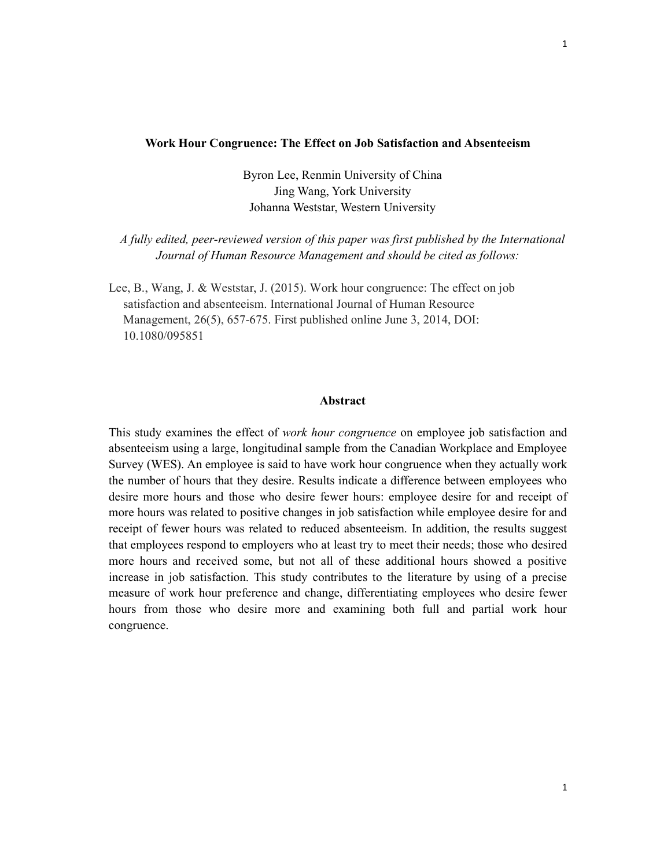#### Work Hour Congruence: The Effect on Job Satisfaction and Absenteeism

Byron Lee, Renmin University of China Jing Wang, York University Johanna Weststar, Western University

A fully edited, peer-reviewed version of this paper was first published by the International Journal of Human Resource Management and should be cited as follows:

Lee, B., Wang, J. & Weststar, J. (2015). Work hour congruence: The effect on job satisfaction and absenteeism. International Journal of Human Resource Management, 26(5), 657-675. First published online June 3, 2014, DOI: 10.1080/095851

#### Abstract

This study examines the effect of *work hour congruence* on employee job satisfaction and absenteeism using a large, longitudinal sample from the Canadian Workplace and Employee Survey (WES). An employee is said to have work hour congruence when they actually work the number of hours that they desire. Results indicate a difference between employees who desire more hours and those who desire fewer hours: employee desire for and receipt of more hours was related to positive changes in job satisfaction while employee desire for and receipt of fewer hours was related to reduced absenteeism. In addition, the results suggest that employees respond to employers who at least try to meet their needs; those who desired more hours and received some, but not all of these additional hours showed a positive increase in job satisfaction. This study contributes to the literature by using of a precise measure of work hour preference and change, differentiating employees who desire fewer hours from those who desire more and examining both full and partial work hour congruence.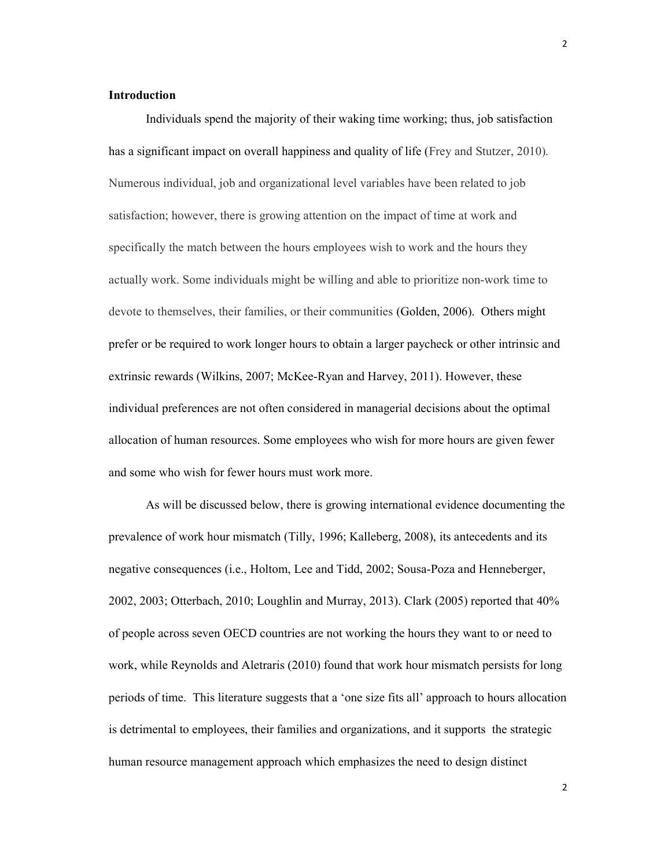#### Introduction

Individuals spend the majority of their waking time working; thus, job satisfaction has a significant impact on overall happiness and quality of life (Frey and Stutzer, 2010). Numerous individual, job and organizational level variables have been related to job satisfaction; however, there is growing attention on the impact of time at work and specifically the match between the hours employees wish to work and the hours they actually work. Some individuals might be willing and able to prioritize non-work time to devote to themselves, their families, or their communities (Golden, 2006). Others might prefer or be required to work longer hours to obtain a larger paycheck or other intrinsic and extrinsic rewards (Wilkins, 2007; McKee-Ryan and Harvey, 2011). However, these individual preferences are not often considered in managerial decisions about the optimal allocation of human resources. Some employees who wish for more hours are given fewer and some who wish for fewer hours must work more.

As will be discussed below, there is growing international evidence documenting the prevalence of work hour mismatch (Tilly, 1996; Kalleberg, 2008), its antecedents and its negative consequences (i.e., Holtom, Lee and Tidd, 2002; Sousa-Poza and Henneberger, 2002, 2003; Otterbach, 2010; Loughlin and Murray, 2013). Clark (2005) reported that 40% of people across seven OECD countries are not working the hours they want to or need to work, while Reynolds and Aletraris (2010) found that work hour mismatch persists for long periods of time. This literature suggests that a 'one size fits all' approach to hours allocation is detrimental to employees, their families and organizations, and it supports the strategic human resource management approach which emphasizes the need to design distinct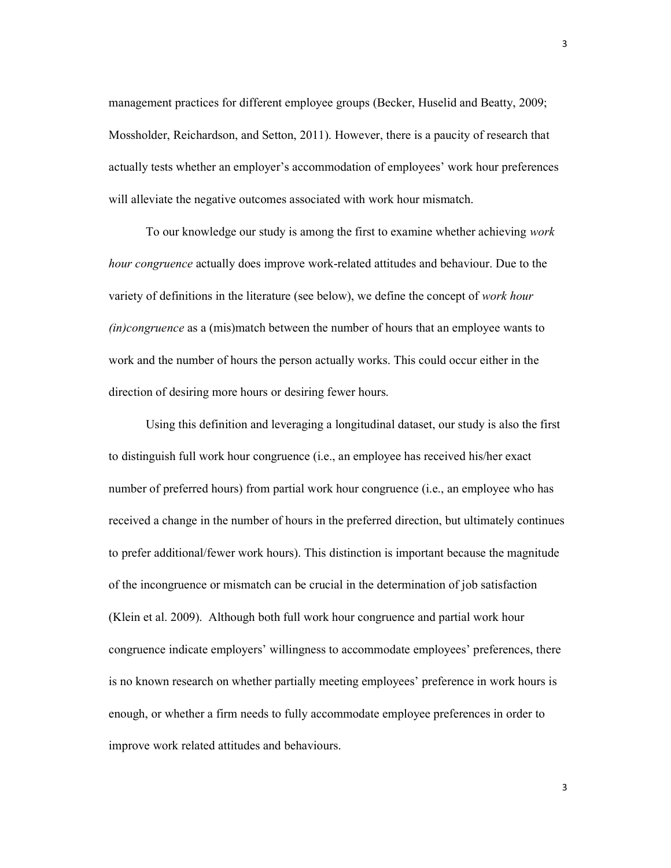management practices for different employee groups (Becker, Huselid and Beatty, 2009; Mossholder, Reichardson, and Setton, 2011). However, there is a paucity of research that actually tests whether an employer's accommodation of employees' work hour preferences will alleviate the negative outcomes associated with work hour mismatch.

To our knowledge our study is among the first to examine whether achieving work hour congruence actually does improve work-related attitudes and behaviour. Due to the variety of definitions in the literature (see below), we define the concept of work hour  $(in) congruence$  as a  $(mis)$  match between the number of hours that an employee wants to work and the number of hours the person actually works. This could occur either in the direction of desiring more hours or desiring fewer hours.

Using this definition and leveraging a longitudinal dataset, our study is also the first to distinguish full work hour congruence (i.e., an employee has received his/her exact number of preferred hours) from partial work hour congruence (i.e., an employee who has received a change in the number of hours in the preferred direction, but ultimately continues to prefer additional/fewer work hours). This distinction is important because the magnitude of the incongruence or mismatch can be crucial in the determination of job satisfaction (Klein et al. 2009). Although both full work hour congruence and partial work hour congruence indicate employers' willingness to accommodate employees' preferences, there is no known research on whether partially meeting employees' preference in work hours is enough, or whether a firm needs to fully accommodate employee preferences in order to improve work related attitudes and behaviours.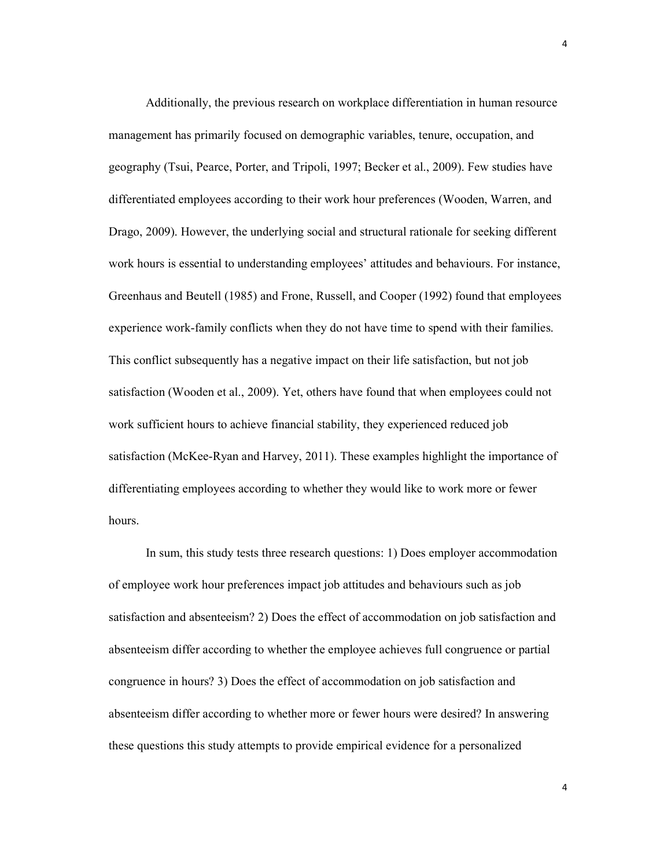Additionally, the previous research on workplace differentiation in human resource management has primarily focused on demographic variables, tenure, occupation, and geography (Tsui, Pearce, Porter, and Tripoli, 1997; Becker et al., 2009). Few studies have differentiated employees according to their work hour preferences (Wooden, Warren, and Drago, 2009). However, the underlying social and structural rationale for seeking different work hours is essential to understanding employees' attitudes and behaviours. For instance, Greenhaus and Beutell (1985) and Frone, Russell, and Cooper (1992) found that employees experience work-family conflicts when they do not have time to spend with their families. This conflict subsequently has a negative impact on their life satisfaction, but not job satisfaction (Wooden et al., 2009). Yet, others have found that when employees could not work sufficient hours to achieve financial stability, they experienced reduced job satisfaction (McKee-Ryan and Harvey, 2011). These examples highlight the importance of differentiating employees according to whether they would like to work more or fewer hours.

In sum, this study tests three research questions: 1) Does employer accommodation of employee work hour preferences impact job attitudes and behaviours such as job satisfaction and absenteeism? 2) Does the effect of accommodation on job satisfaction and absenteeism differ according to whether the employee achieves full congruence or partial congruence in hours? 3) Does the effect of accommodation on job satisfaction and absenteeism differ according to whether more or fewer hours were desired? In answering these questions this study attempts to provide empirical evidence for a personalized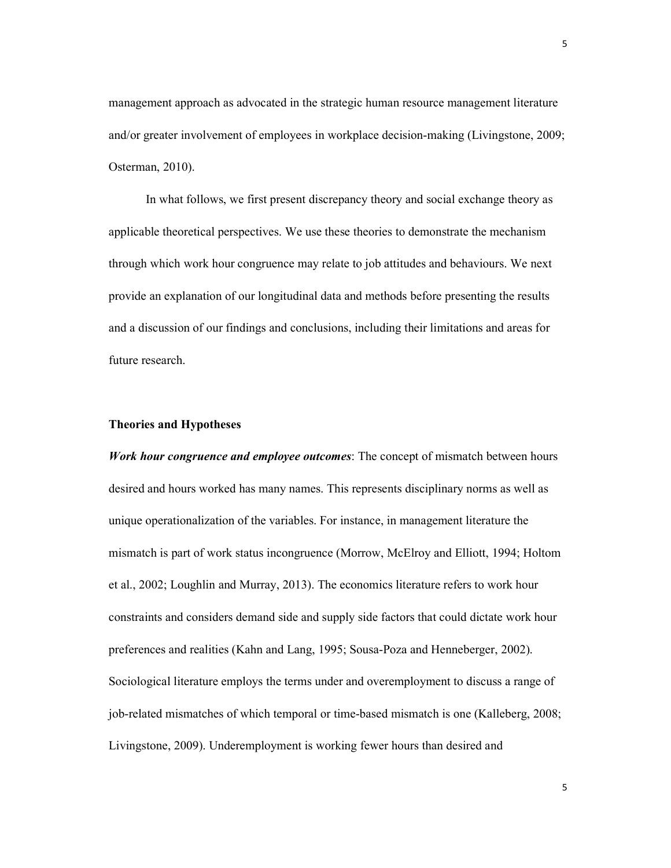management approach as advocated in the strategic human resource management literature and/or greater involvement of employees in workplace decision-making (Livingstone, 2009; Osterman, 2010).

 In what follows, we first present discrepancy theory and social exchange theory as applicable theoretical perspectives. We use these theories to demonstrate the mechanism through which work hour congruence may relate to job attitudes and behaviours. We next provide an explanation of our longitudinal data and methods before presenting the results and a discussion of our findings and conclusions, including their limitations and areas for future research.

# Theories and Hypotheses

Work hour congruence and employee outcomes: The concept of mismatch between hours desired and hours worked has many names. This represents disciplinary norms as well as unique operationalization of the variables. For instance, in management literature the mismatch is part of work status incongruence (Morrow, McElroy and Elliott, 1994; Holtom et al., 2002; Loughlin and Murray, 2013). The economics literature refers to work hour constraints and considers demand side and supply side factors that could dictate work hour preferences and realities (Kahn and Lang, 1995; Sousa-Poza and Henneberger, 2002). Sociological literature employs the terms under and overemployment to discuss a range of job-related mismatches of which temporal or time-based mismatch is one (Kalleberg, 2008; Livingstone, 2009). Underemployment is working fewer hours than desired and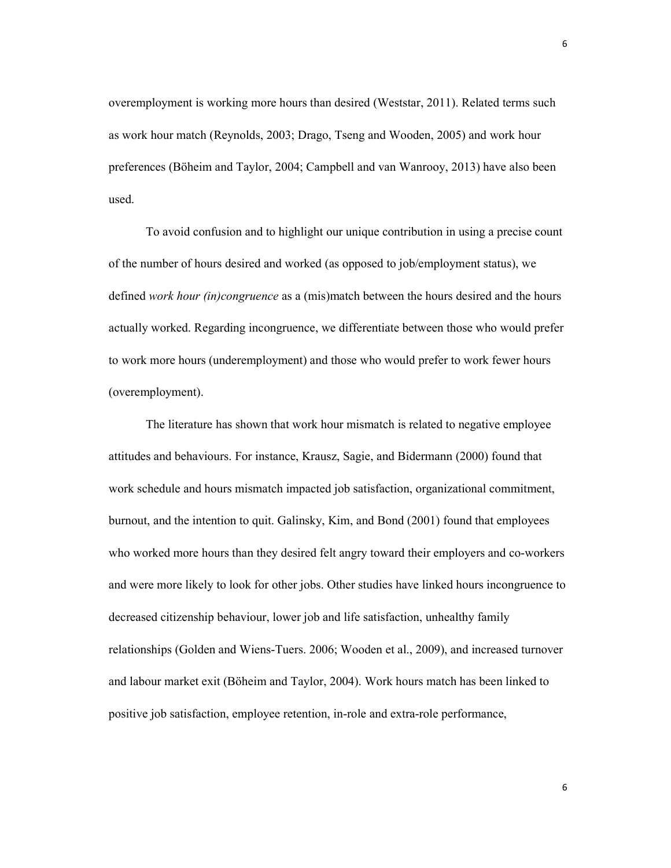overemployment is working more hours than desired (Weststar, 2011). Related terms such as work hour match (Reynolds, 2003; Drago, Tseng and Wooden, 2005) and work hour preferences (Böheim and Taylor, 2004; Campbell and van Wanrooy, 2013) have also been used.

To avoid confusion and to highlight our unique contribution in using a precise count of the number of hours desired and worked (as opposed to job/employment status), we defined work hour *(in)congruence* as a *(mis)match between the hours desired and the hours* actually worked. Regarding incongruence, we differentiate between those who would prefer to work more hours (underemployment) and those who would prefer to work fewer hours (overemployment).

The literature has shown that work hour mismatch is related to negative employee attitudes and behaviours. For instance, Krausz, Sagie, and Bidermann (2000) found that work schedule and hours mismatch impacted job satisfaction, organizational commitment, burnout, and the intention to quit. Galinsky, Kim, and Bond (2001) found that employees who worked more hours than they desired felt angry toward their employers and co-workers and were more likely to look for other jobs. Other studies have linked hours incongruence to decreased citizenship behaviour, lower job and life satisfaction, unhealthy family relationships (Golden and Wiens-Tuers. 2006; Wooden et al., 2009), and increased turnover and labour market exit (Böheim and Taylor, 2004). Work hours match has been linked to positive job satisfaction, employee retention, in-role and extra-role performance,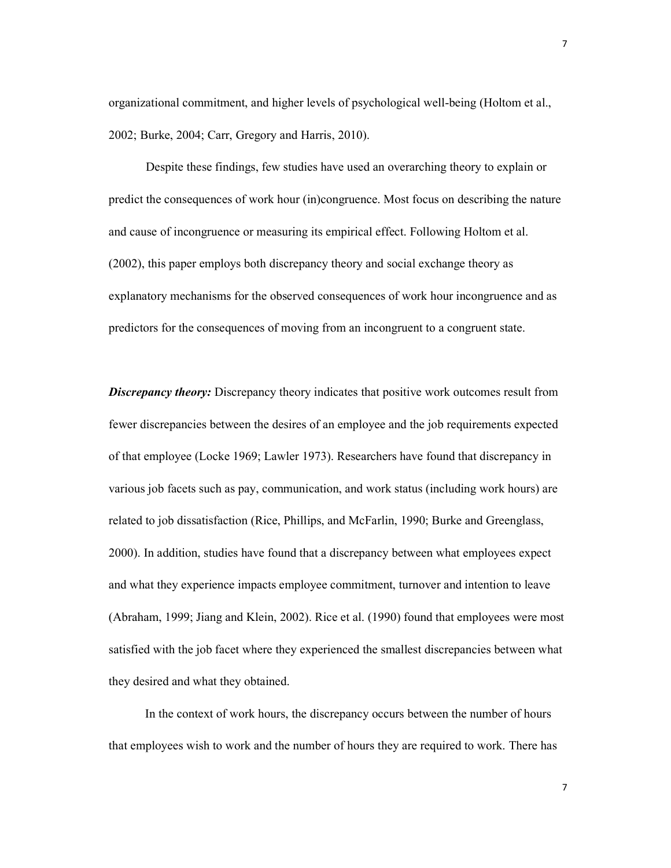organizational commitment, and higher levels of psychological well-being (Holtom et al., 2002; Burke, 2004; Carr, Gregory and Harris, 2010).

Despite these findings, few studies have used an overarching theory to explain or predict the consequences of work hour (in)congruence. Most focus on describing the nature and cause of incongruence or measuring its empirical effect. Following Holtom et al. (2002), this paper employs both discrepancy theory and social exchange theory as explanatory mechanisms for the observed consequences of work hour incongruence and as predictors for the consequences of moving from an incongruent to a congruent state.

**Discrepancy theory:** Discrepancy theory indicates that positive work outcomes result from fewer discrepancies between the desires of an employee and the job requirements expected of that employee (Locke 1969; Lawler 1973). Researchers have found that discrepancy in various job facets such as pay, communication, and work status (including work hours) are related to job dissatisfaction (Rice, Phillips, and McFarlin, 1990; Burke and Greenglass, 2000). In addition, studies have found that a discrepancy between what employees expect and what they experience impacts employee commitment, turnover and intention to leave (Abraham, 1999; Jiang and Klein, 2002). Rice et al. (1990) found that employees were most satisfied with the job facet where they experienced the smallest discrepancies between what they desired and what they obtained.

In the context of work hours, the discrepancy occurs between the number of hours that employees wish to work and the number of hours they are required to work. There has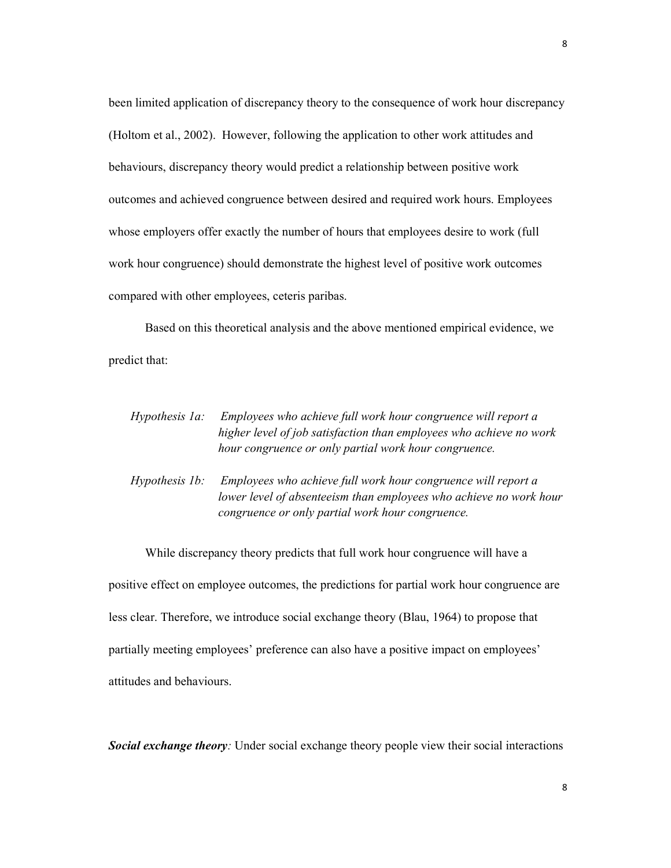been limited application of discrepancy theory to the consequence of work hour discrepancy (Holtom et al., 2002). However, following the application to other work attitudes and behaviours, discrepancy theory would predict a relationship between positive work outcomes and achieved congruence between desired and required work hours. Employees whose employers offer exactly the number of hours that employees desire to work (full work hour congruence) should demonstrate the highest level of positive work outcomes compared with other employees, ceteris paribas.

Based on this theoretical analysis and the above mentioned empirical evidence, we predict that:

| Hypothesis 1a:        | Employees who achieve full work hour congruence will report a<br>higher level of job satisfaction than employees who achieve no work<br>hour congruence or only partial work hour congruence. |
|-----------------------|-----------------------------------------------------------------------------------------------------------------------------------------------------------------------------------------------|
| <i>Hypothesis 1b:</i> | Employees who achieve full work hour congruence will report a<br>lower level of absenteeism than employees who achieve no work hour<br>congruence or only partial work hour congruence.       |

While discrepancy theory predicts that full work hour congruence will have a positive effect on employee outcomes, the predictions for partial work hour congruence are less clear. Therefore, we introduce social exchange theory (Blau, 1964) to propose that partially meeting employees' preference can also have a positive impact on employees' attitudes and behaviours.

Social exchange theory: Under social exchange theory people view their social interactions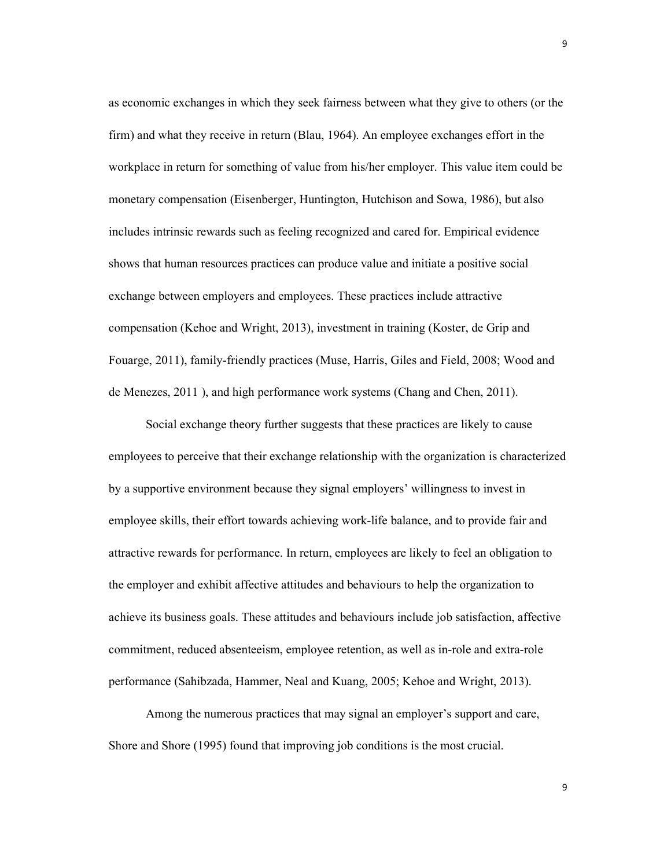as economic exchanges in which they seek fairness between what they give to others (or the firm) and what they receive in return (Blau, 1964). An employee exchanges effort in the workplace in return for something of value from his/her employer. This value item could be monetary compensation (Eisenberger, Huntington, Hutchison and Sowa, 1986), but also includes intrinsic rewards such as feeling recognized and cared for. Empirical evidence shows that human resources practices can produce value and initiate a positive social exchange between employers and employees. These practices include attractive compensation (Kehoe and Wright, 2013), investment in training (Koster, de Grip and Fouarge, 2011), family-friendly practices (Muse, Harris, Giles and Field, 2008; Wood and de Menezes, 2011 ), and high performance work systems (Chang and Chen, 2011).

Social exchange theory further suggests that these practices are likely to cause employees to perceive that their exchange relationship with the organization is characterized by a supportive environment because they signal employers' willingness to invest in employee skills, their effort towards achieving work-life balance, and to provide fair and attractive rewards for performance. In return, employees are likely to feel an obligation to the employer and exhibit affective attitudes and behaviours to help the organization to achieve its business goals. These attitudes and behaviours include job satisfaction, affective commitment, reduced absenteeism, employee retention, as well as in-role and extra-role performance (Sahibzada, Hammer, Neal and Kuang, 2005; Kehoe and Wright, 2013).

Among the numerous practices that may signal an employer's support and care, Shore and Shore (1995) found that improving job conditions is the most crucial.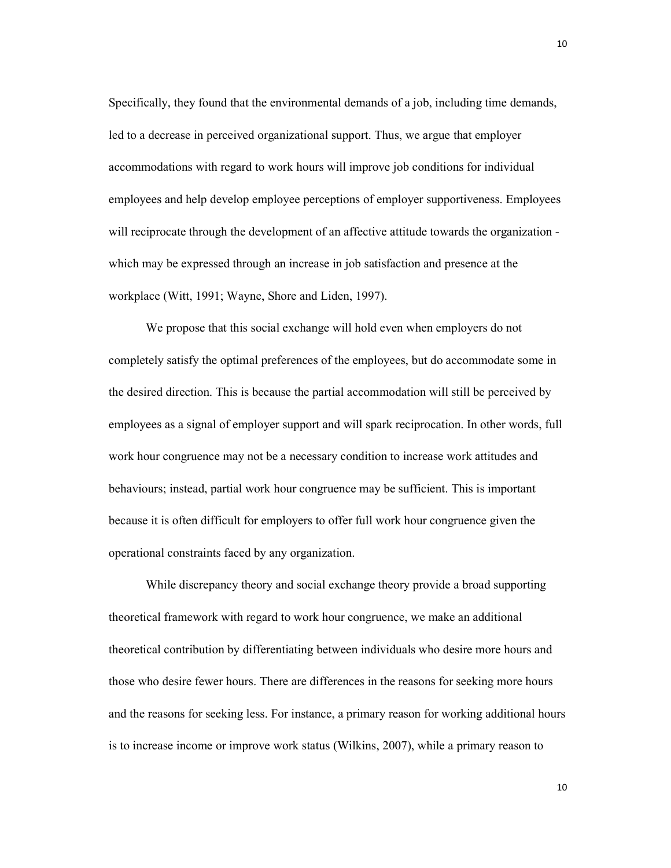Specifically, they found that the environmental demands of a job, including time demands, led to a decrease in perceived organizational support. Thus, we argue that employer accommodations with regard to work hours will improve job conditions for individual employees and help develop employee perceptions of employer supportiveness. Employees will reciprocate through the development of an affective attitude towards the organization which may be expressed through an increase in job satisfaction and presence at the workplace (Witt, 1991; Wayne, Shore and Liden, 1997).

We propose that this social exchange will hold even when employers do not completely satisfy the optimal preferences of the employees, but do accommodate some in the desired direction. This is because the partial accommodation will still be perceived by employees as a signal of employer support and will spark reciprocation. In other words, full work hour congruence may not be a necessary condition to increase work attitudes and behaviours; instead, partial work hour congruence may be sufficient. This is important because it is often difficult for employers to offer full work hour congruence given the operational constraints faced by any organization.

While discrepancy theory and social exchange theory provide a broad supporting theoretical framework with regard to work hour congruence, we make an additional theoretical contribution by differentiating between individuals who desire more hours and those who desire fewer hours. There are differences in the reasons for seeking more hours and the reasons for seeking less. For instance, a primary reason for working additional hours is to increase income or improve work status (Wilkins, 2007), while a primary reason to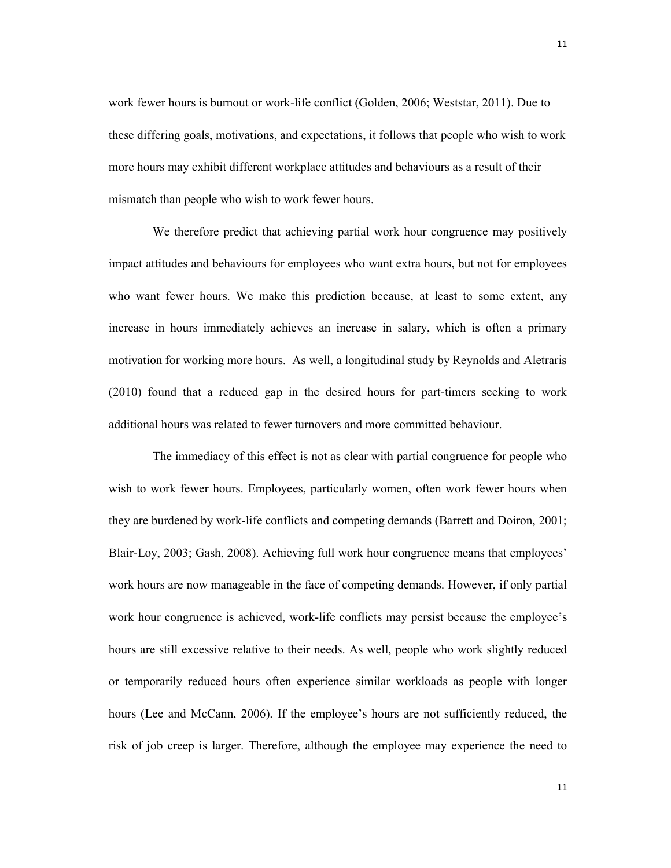work fewer hours is burnout or work-life conflict (Golden, 2006; Weststar, 2011). Due to these differing goals, motivations, and expectations, it follows that people who wish to work more hours may exhibit different workplace attitudes and behaviours as a result of their mismatch than people who wish to work fewer hours.

We therefore predict that achieving partial work hour congruence may positively impact attitudes and behaviours for employees who want extra hours, but not for employees who want fewer hours. We make this prediction because, at least to some extent, any increase in hours immediately achieves an increase in salary, which is often a primary motivation for working more hours. As well, a longitudinal study by Reynolds and Aletraris (2010) found that a reduced gap in the desired hours for part-timers seeking to work additional hours was related to fewer turnovers and more committed behaviour.

The immediacy of this effect is not as clear with partial congruence for people who wish to work fewer hours. Employees, particularly women, often work fewer hours when they are burdened by work-life conflicts and competing demands (Barrett and Doiron, 2001; Blair-Loy, 2003; Gash, 2008). Achieving full work hour congruence means that employees' work hours are now manageable in the face of competing demands. However, if only partial work hour congruence is achieved, work-life conflicts may persist because the employee's hours are still excessive relative to their needs. As well, people who work slightly reduced or temporarily reduced hours often experience similar workloads as people with longer hours (Lee and McCann, 2006). If the employee's hours are not sufficiently reduced, the risk of job creep is larger. Therefore, although the employee may experience the need to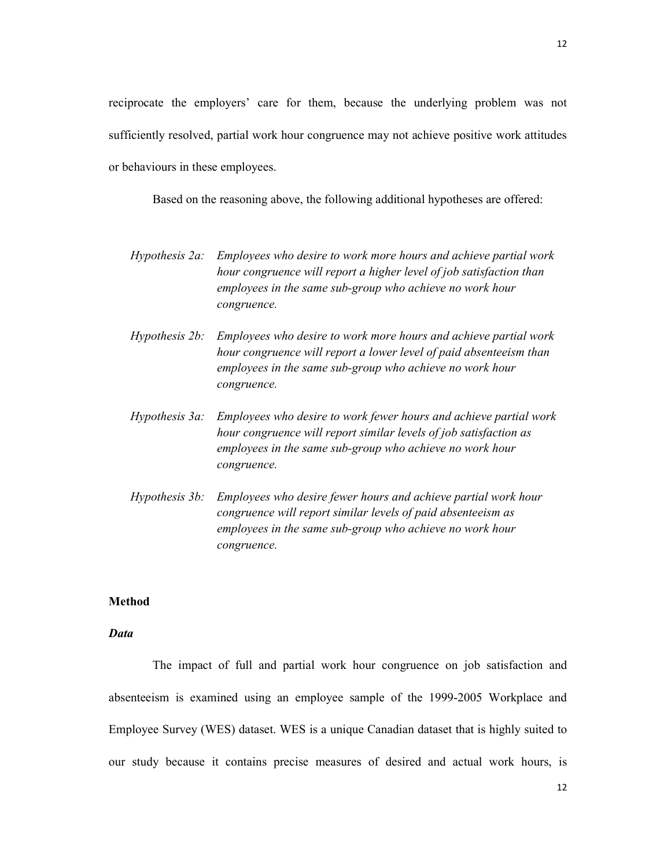reciprocate the employers' care for them, because the underlying problem was not sufficiently resolved, partial work hour congruence may not achieve positive work attitudes or behaviours in these employees.

Based on the reasoning above, the following additional hypotheses are offered:

- Hypothesis 2a: Employees who desire to work more hours and achieve partial work hour congruence will report a higher level of job satisfaction than employees in the same sub-group who achieve no work hour congruence.
- Hypothesis 2b: Employees who desire to work more hours and achieve partial work hour congruence will report a lower level of paid absenteeism than employees in the same sub-group who achieve no work hour congruence.
- Hypothesis 3a: Employees who desire to work fewer hours and achieve partial work hour congruence will report similar levels of job satisfaction as employees in the same sub-group who achieve no work hour congruence.
- Hypothesis 3b: Employees who desire fewer hours and achieve partial work hour congruence will report similar levels of paid absenteeism as employees in the same sub-group who achieve no work hour congruence.

### Method

# Data

The impact of full and partial work hour congruence on job satisfaction and absenteeism is examined using an employee sample of the 1999-2005 Workplace and Employee Survey (WES) dataset. WES is a unique Canadian dataset that is highly suited to our study because it contains precise measures of desired and actual work hours, is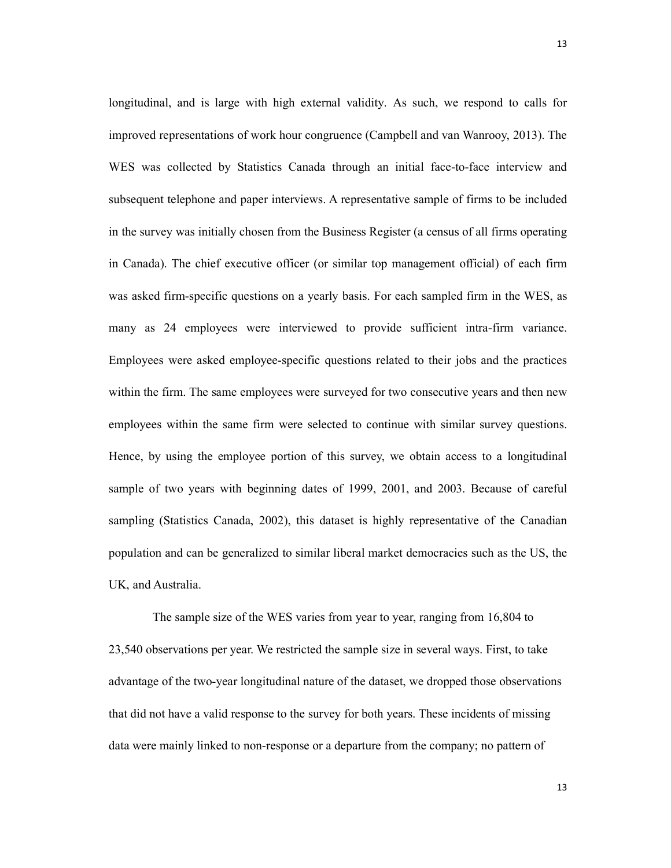longitudinal, and is large with high external validity. As such, we respond to calls for improved representations of work hour congruence (Campbell and van Wanrooy, 2013). The WES was collected by Statistics Canada through an initial face-to-face interview and subsequent telephone and paper interviews. A representative sample of firms to be included in the survey was initially chosen from the Business Register (a census of all firms operating in Canada). The chief executive officer (or similar top management official) of each firm was asked firm-specific questions on a yearly basis. For each sampled firm in the WES, as many as 24 employees were interviewed to provide sufficient intra-firm variance. Employees were asked employee-specific questions related to their jobs and the practices within the firm. The same employees were surveyed for two consecutive years and then new employees within the same firm were selected to continue with similar survey questions. Hence, by using the employee portion of this survey, we obtain access to a longitudinal sample of two years with beginning dates of 1999, 2001, and 2003. Because of careful sampling (Statistics Canada, 2002), this dataset is highly representative of the Canadian population and can be generalized to similar liberal market democracies such as the US, the UK, and Australia.

The sample size of the WES varies from year to year, ranging from 16,804 to 23,540 observations per year. We restricted the sample size in several ways. First, to take advantage of the two-year longitudinal nature of the dataset, we dropped those observations that did not have a valid response to the survey for both years. These incidents of missing data were mainly linked to non-response or a departure from the company; no pattern of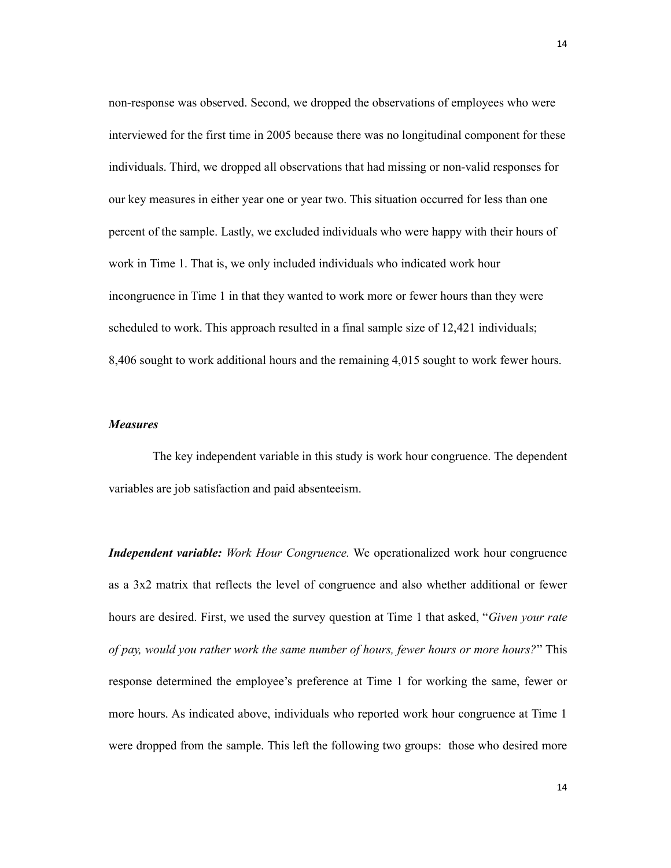non-response was observed. Second, we dropped the observations of employees who were interviewed for the first time in 2005 because there was no longitudinal component for these individuals. Third, we dropped all observations that had missing or non-valid responses for our key measures in either year one or year two. This situation occurred for less than one percent of the sample. Lastly, we excluded individuals who were happy with their hours of work in Time 1. That is, we only included individuals who indicated work hour incongruence in Time 1 in that they wanted to work more or fewer hours than they were scheduled to work. This approach resulted in a final sample size of 12,421 individuals; 8,406 sought to work additional hours and the remaining 4,015 sought to work fewer hours.

# Measures

The key independent variable in this study is work hour congruence. The dependent variables are job satisfaction and paid absenteeism.

**Independent variable:** Work Hour Congruence. We operationalized work hour congruence as a 3x2 matrix that reflects the level of congruence and also whether additional or fewer hours are desired. First, we used the survey question at Time 1 that asked, "Given your rate of pay, would you rather work the same number of hours, fewer hours or more hours?" This response determined the employee's preference at Time 1 for working the same, fewer or more hours. As indicated above, individuals who reported work hour congruence at Time 1 were dropped from the sample. This left the following two groups: those who desired more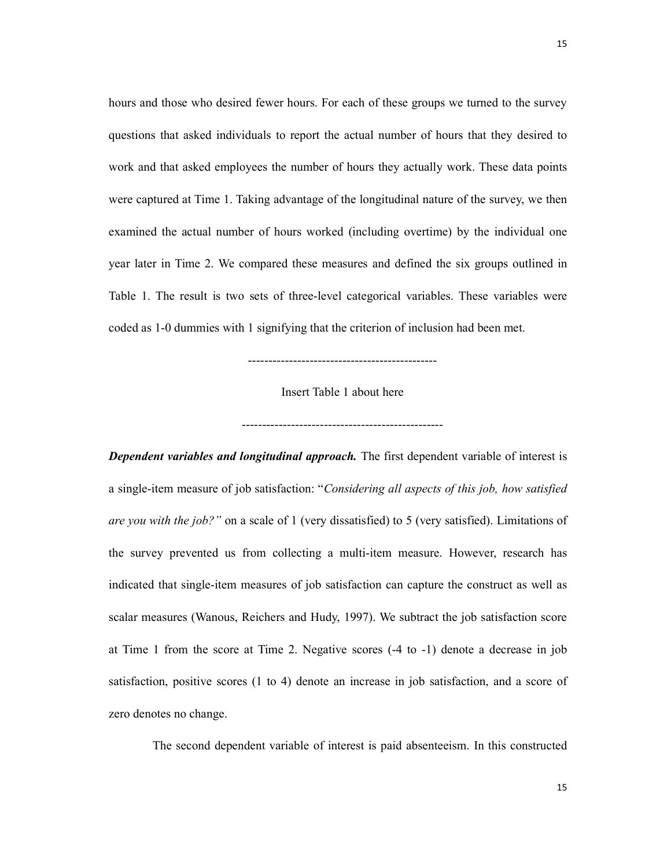hours and those who desired fewer hours. For each of these groups we turned to the survey questions that asked individuals to report the actual number of hours that they desired to work and that asked employees the number of hours they actually work. These data points were captured at Time 1. Taking advantage of the longitudinal nature of the survey, we then examined the actual number of hours worked (including overtime) by the individual one year later in Time 2. We compared these measures and defined the six groups outlined in Table 1. The result is two sets of three-level categorical variables. These variables were coded as 1-0 dummies with 1 signifying that the criterion of inclusion had been met.

Insert Table 1 about here

-------------------------------------------------

----------------------------------------------

**Dependent variables and longitudinal approach.** The first dependent variable of interest is a single-item measure of job satisfaction: "Considering all aspects of this job, how satisfied are you with the job?" on a scale of 1 (very dissatisfied) to 5 (very satisfied). Limitations of the survey prevented us from collecting a multi-item measure. However, research has indicated that single-item measures of job satisfaction can capture the construct as well as scalar measures (Wanous, Reichers and Hudy, 1997). We subtract the job satisfaction score at Time 1 from the score at Time 2. Negative scores (-4 to -1) denote a decrease in job satisfaction, positive scores (1 to 4) denote an increase in job satisfaction, and a score of zero denotes no change.

The second dependent variable of interest is paid absenteeism. In this constructed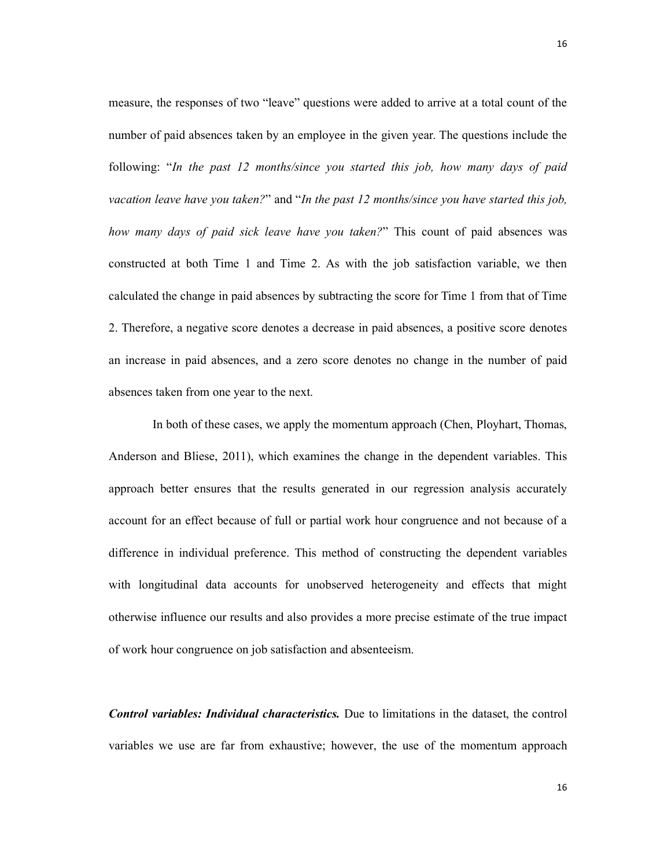measure, the responses of two "leave" questions were added to arrive at a total count of the number of paid absences taken by an employee in the given year. The questions include the following: "In the past 12 months/since you started this job, how many days of paid vacation leave have you taken?" and "In the past 12 months/since you have started this job, how many days of paid sick leave have you taken?" This count of paid absences was constructed at both Time 1 and Time 2. As with the job satisfaction variable, we then calculated the change in paid absences by subtracting the score for Time 1 from that of Time 2. Therefore, a negative score denotes a decrease in paid absences, a positive score denotes an increase in paid absences, and a zero score denotes no change in the number of paid absences taken from one year to the next.

In both of these cases, we apply the momentum approach (Chen, Ployhart, Thomas, Anderson and Bliese, 2011), which examines the change in the dependent variables. This approach better ensures that the results generated in our regression analysis accurately account for an effect because of full or partial work hour congruence and not because of a difference in individual preference. This method of constructing the dependent variables with longitudinal data accounts for unobserved heterogeneity and effects that might otherwise influence our results and also provides a more precise estimate of the true impact of work hour congruence on job satisfaction and absenteeism.

Control variables: Individual characteristics. Due to limitations in the dataset, the control variables we use are far from exhaustive; however, the use of the momentum approach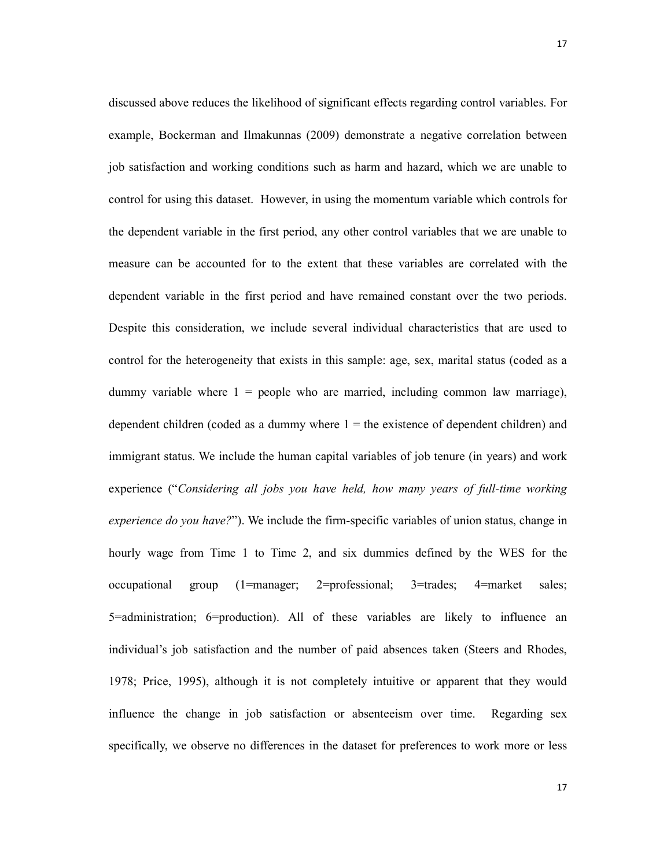discussed above reduces the likelihood of significant effects regarding control variables. For example, Bockerman and Ilmakunnas (2009) demonstrate a negative correlation between job satisfaction and working conditions such as harm and hazard, which we are unable to control for using this dataset. However, in using the momentum variable which controls for the dependent variable in the first period, any other control variables that we are unable to measure can be accounted for to the extent that these variables are correlated with the dependent variable in the first period and have remained constant over the two periods. Despite this consideration, we include several individual characteristics that are used to control for the heterogeneity that exists in this sample: age, sex, marital status (coded as a dummy variable where  $1$  = people who are married, including common law marriage), dependent children (coded as a dummy where  $1 =$  the existence of dependent children) and immigrant status. We include the human capital variables of job tenure (in years) and work experience ("Considering all jobs you have held, how many years of full-time working experience do you have?"). We include the firm-specific variables of union status, change in hourly wage from Time 1 to Time 2, and six dummies defined by the WES for the occupational group (1=manager; 2=professional; 3=trades; 4=market sales; 5=administration; 6=production). All of these variables are likely to influence an individual's job satisfaction and the number of paid absences taken (Steers and Rhodes, 1978; Price, 1995), although it is not completely intuitive or apparent that they would influence the change in job satisfaction or absenteeism over time. Regarding sex specifically, we observe no differences in the dataset for preferences to work more or less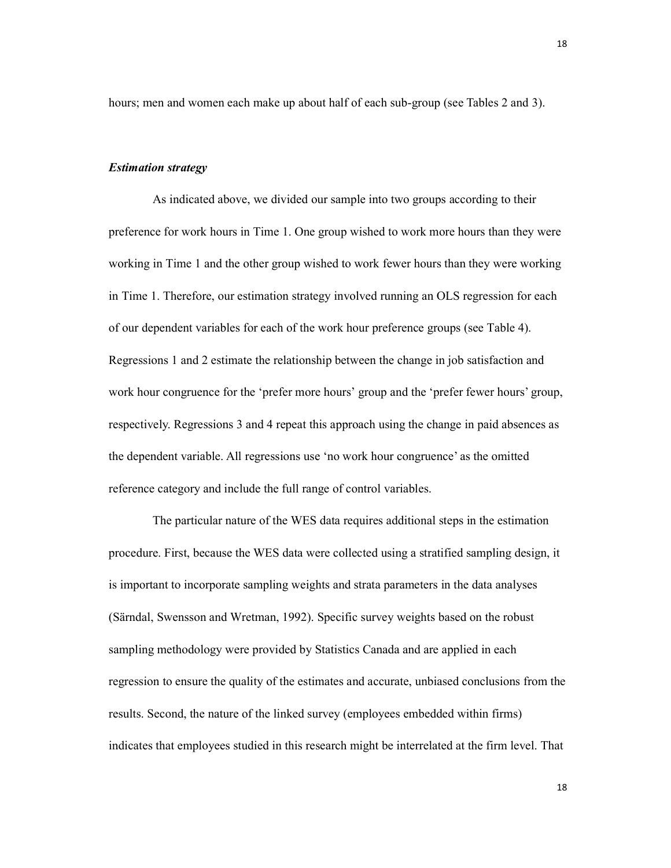hours; men and women each make up about half of each sub-group (see Tables 2 and 3).

#### Estimation strategy

As indicated above, we divided our sample into two groups according to their preference for work hours in Time 1. One group wished to work more hours than they were working in Time 1 and the other group wished to work fewer hours than they were working in Time 1. Therefore, our estimation strategy involved running an OLS regression for each of our dependent variables for each of the work hour preference groups (see Table 4). Regressions 1 and 2 estimate the relationship between the change in job satisfaction and work hour congruence for the 'prefer more hours' group and the 'prefer fewer hours' group, respectively. Regressions 3 and 4 repeat this approach using the change in paid absences as the dependent variable. All regressions use 'no work hour congruence' as the omitted reference category and include the full range of control variables.

The particular nature of the WES data requires additional steps in the estimation procedure. First, because the WES data were collected using a stratified sampling design, it is important to incorporate sampling weights and strata parameters in the data analyses (Särndal, Swensson and Wretman, 1992). Specific survey weights based on the robust sampling methodology were provided by Statistics Canada and are applied in each regression to ensure the quality of the estimates and accurate, unbiased conclusions from the results. Second, the nature of the linked survey (employees embedded within firms) indicates that employees studied in this research might be interrelated at the firm level. That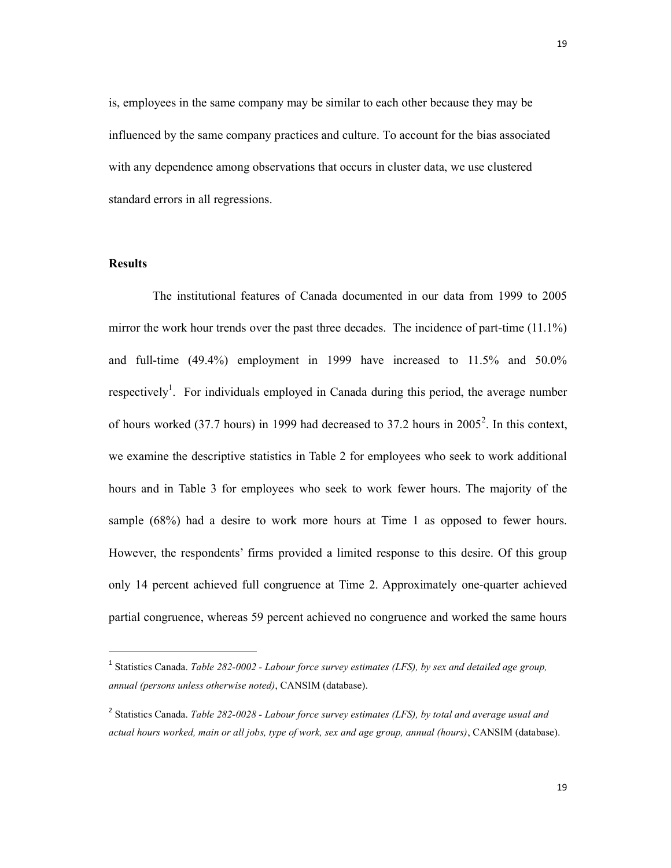is, employees in the same company may be similar to each other because they may be influenced by the same company practices and culture. To account for the bias associated with any dependence among observations that occurs in cluster data, we use clustered standard errors in all regressions.

### Results

1

The institutional features of Canada documented in our data from 1999 to 2005 mirror the work hour trends over the past three decades. The incidence of part-time (11.1%) and full-time (49.4%) employment in 1999 have increased to 11.5% and 50.0% respectively<sup>1</sup>. For individuals employed in Canada during this period, the average number of hours worked (37.7 hours) in 1999 had decreased to 37.2 hours in  $2005^2$ . In this context, we examine the descriptive statistics in Table 2 for employees who seek to work additional hours and in Table 3 for employees who seek to work fewer hours. The majority of the sample (68%) had a desire to work more hours at Time 1 as opposed to fewer hours. However, the respondents' firms provided a limited response to this desire. Of this group only 14 percent achieved full congruence at Time 2. Approximately one-quarter achieved partial congruence, whereas 59 percent achieved no congruence and worked the same hours

 $1$  Statistics Canada. Table 282-0002 - Labour force survey estimates (LFS), by sex and detailed age group, annual (persons unless otherwise noted), CANSIM (database).

 $2$  Statistics Canada. Table 282-0028 - Labour force survey estimates (LFS), by total and average usual and actual hours worked, main or all jobs, type of work, sex and age group, annual (hours), CANSIM (database).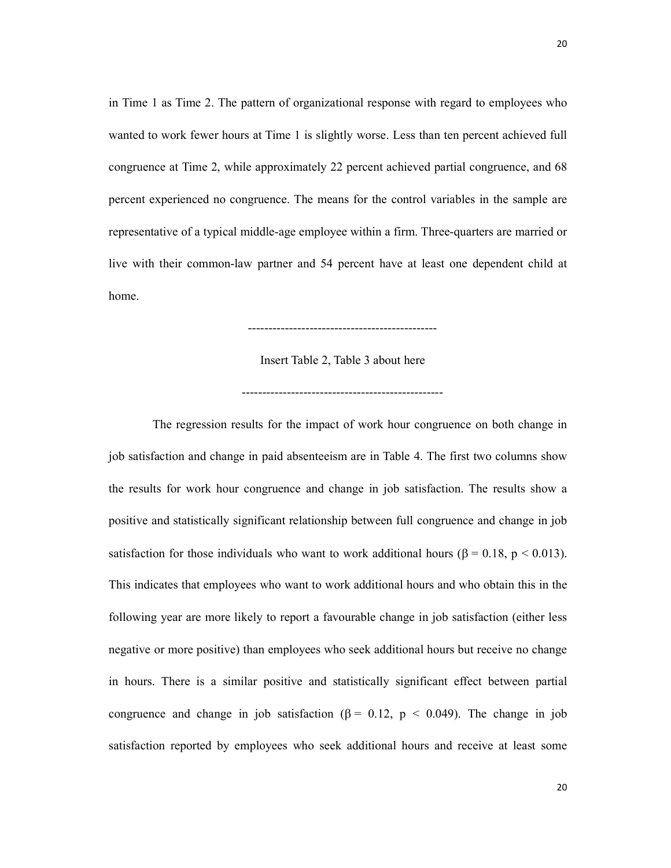in Time 1 as Time 2. The pattern of organizational response with regard to employees who wanted to work fewer hours at Time 1 is slightly worse. Less than ten percent achieved full congruence at Time 2, while approximately 22 percent achieved partial congruence, and 68 percent experienced no congruence. The means for the control variables in the sample are representative of a typical middle-age employee within a firm. Three-quarters are married or live with their common-law partner and 54 percent have at least one dependent child at home.

Insert Table 2, Table 3 about here

----------------------------------------------

-------------------------------------------------

The regression results for the impact of work hour congruence on both change in job satisfaction and change in paid absenteeism are in Table 4. The first two columns show the results for work hour congruence and change in job satisfaction. The results show a positive and statistically significant relationship between full congruence and change in job satisfaction for those individuals who want to work additional hours ( $\beta = 0.18$ ,  $p < 0.013$ ). This indicates that employees who want to work additional hours and who obtain this in the following year are more likely to report a favourable change in job satisfaction (either less negative or more positive) than employees who seek additional hours but receive no change in hours. There is a similar positive and statistically significant effect between partial congruence and change in job satisfaction ( $\beta = 0.12$ ,  $p < 0.049$ ). The change in job satisfaction reported by employees who seek additional hours and receive at least some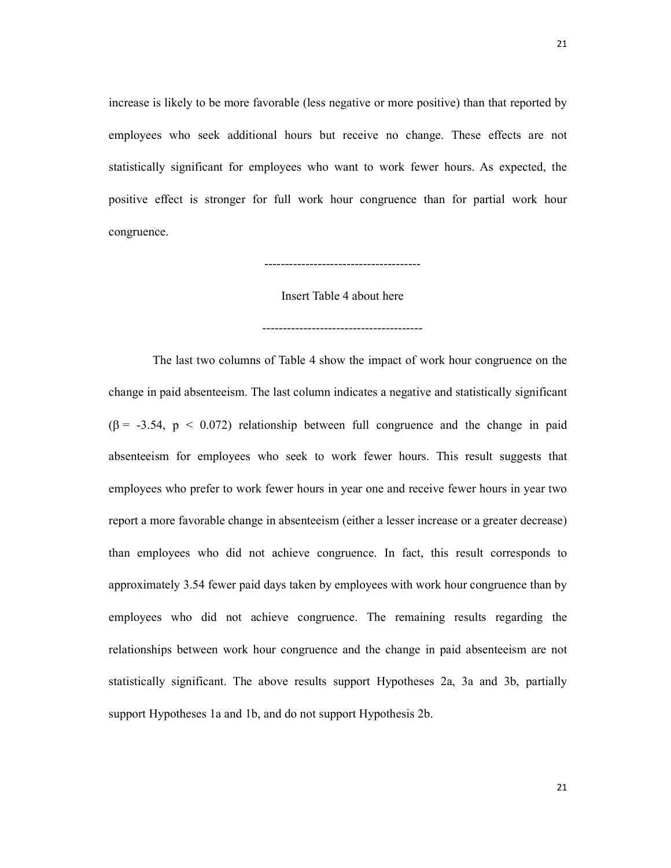increase is likely to be more favorable (less negative or more positive) than that reported by employees who seek additional hours but receive no change. These effects are not statistically significant for employees who want to work fewer hours. As expected, the positive effect is stronger for full work hour congruence than for partial work hour congruence.

Insert Table 4 about here

---------------------------------------

--------------------------------------

The last two columns of Table 4 show the impact of work hour congruence on the change in paid absenteeism. The last column indicates a negative and statistically significant  $(\beta = -3.54, p < 0.072)$  relationship between full congruence and the change in paid absenteeism for employees who seek to work fewer hours. This result suggests that employees who prefer to work fewer hours in year one and receive fewer hours in year two report a more favorable change in absenteeism (either a lesser increase or a greater decrease) than employees who did not achieve congruence. In fact, this result corresponds to approximately 3.54 fewer paid days taken by employees with work hour congruence than by employees who did not achieve congruence. The remaining results regarding the relationships between work hour congruence and the change in paid absenteeism are not statistically significant. The above results support Hypotheses 2a, 3a and 3b, partially support Hypotheses 1a and 1b, and do not support Hypothesis 2b.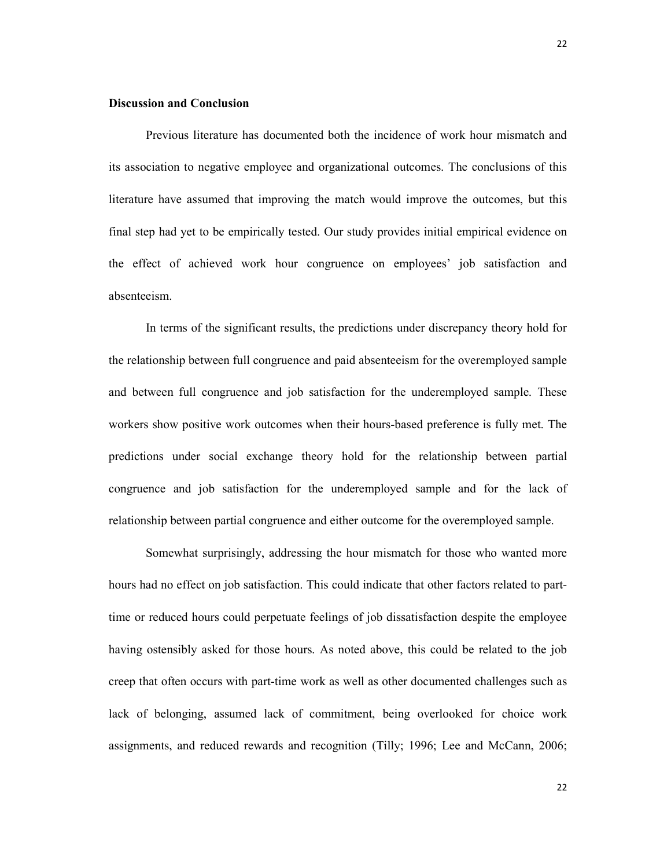# Discussion and Conclusion

Previous literature has documented both the incidence of work hour mismatch and its association to negative employee and organizational outcomes. The conclusions of this literature have assumed that improving the match would improve the outcomes, but this final step had yet to be empirically tested. Our study provides initial empirical evidence on the effect of achieved work hour congruence on employees' job satisfaction and absenteeism.

In terms of the significant results, the predictions under discrepancy theory hold for the relationship between full congruence and paid absenteeism for the overemployed sample and between full congruence and job satisfaction for the underemployed sample. These workers show positive work outcomes when their hours-based preference is fully met. The predictions under social exchange theory hold for the relationship between partial congruence and job satisfaction for the underemployed sample and for the lack of relationship between partial congruence and either outcome for the overemployed sample.

Somewhat surprisingly, addressing the hour mismatch for those who wanted more hours had no effect on job satisfaction. This could indicate that other factors related to parttime or reduced hours could perpetuate feelings of job dissatisfaction despite the employee having ostensibly asked for those hours. As noted above, this could be related to the job creep that often occurs with part-time work as well as other documented challenges such as lack of belonging, assumed lack of commitment, being overlooked for choice work assignments, and reduced rewards and recognition (Tilly; 1996; Lee and McCann, 2006;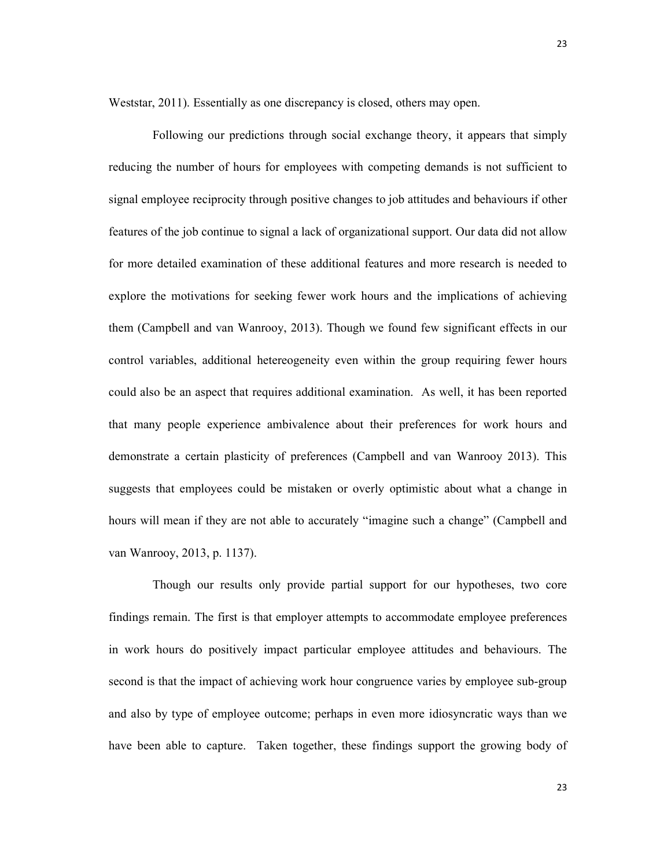Weststar, 2011). Essentially as one discrepancy is closed, others may open.

Following our predictions through social exchange theory, it appears that simply reducing the number of hours for employees with competing demands is not sufficient to signal employee reciprocity through positive changes to job attitudes and behaviours if other features of the job continue to signal a lack of organizational support. Our data did not allow for more detailed examination of these additional features and more research is needed to explore the motivations for seeking fewer work hours and the implications of achieving them (Campbell and van Wanrooy, 2013). Though we found few significant effects in our control variables, additional hetereogeneity even within the group requiring fewer hours could also be an aspect that requires additional examination. As well, it has been reported that many people experience ambivalence about their preferences for work hours and demonstrate a certain plasticity of preferences (Campbell and van Wanrooy 2013). This suggests that employees could be mistaken or overly optimistic about what a change in hours will mean if they are not able to accurately "imagine such a change" (Campbell and van Wanrooy, 2013, p. 1137).

Though our results only provide partial support for our hypotheses, two core findings remain. The first is that employer attempts to accommodate employee preferences in work hours do positively impact particular employee attitudes and behaviours. The second is that the impact of achieving work hour congruence varies by employee sub-group and also by type of employee outcome; perhaps in even more idiosyncratic ways than we have been able to capture. Taken together, these findings support the growing body of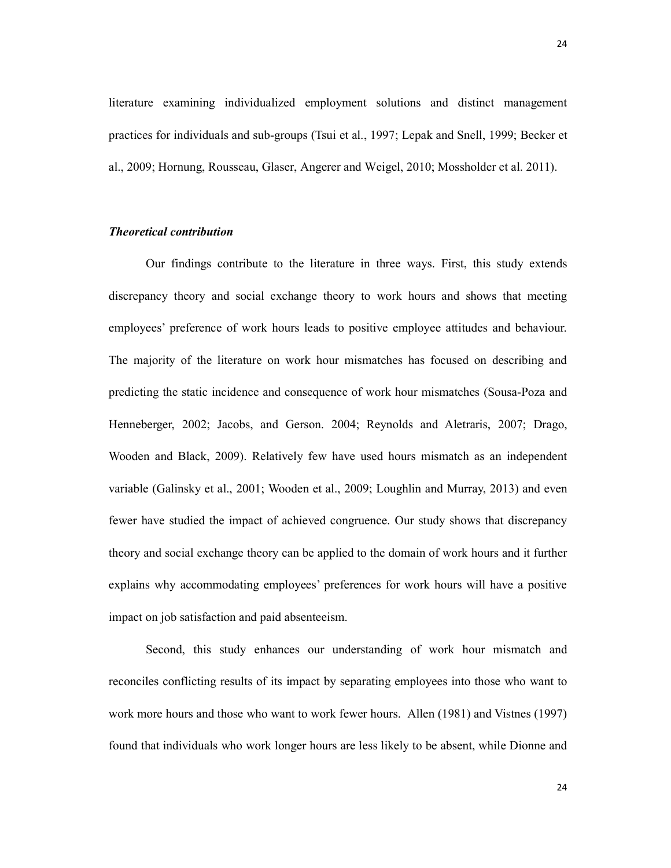literature examining individualized employment solutions and distinct management practices for individuals and sub-groups (Tsui et al., 1997; Lepak and Snell, 1999; Becker et al., 2009; Hornung, Rousseau, Glaser, Angerer and Weigel, 2010; Mossholder et al. 2011).

# Theoretical contribution

 Our findings contribute to the literature in three ways. First, this study extends discrepancy theory and social exchange theory to work hours and shows that meeting employees' preference of work hours leads to positive employee attitudes and behaviour. The majority of the literature on work hour mismatches has focused on describing and predicting the static incidence and consequence of work hour mismatches (Sousa-Poza and Henneberger, 2002; Jacobs, and Gerson. 2004; Reynolds and Aletraris, 2007; Drago, Wooden and Black, 2009). Relatively few have used hours mismatch as an independent variable (Galinsky et al., 2001; Wooden et al., 2009; Loughlin and Murray, 2013) and even fewer have studied the impact of achieved congruence. Our study shows that discrepancy theory and social exchange theory can be applied to the domain of work hours and it further explains why accommodating employees' preferences for work hours will have a positive impact on job satisfaction and paid absenteeism.

Second, this study enhances our understanding of work hour mismatch and reconciles conflicting results of its impact by separating employees into those who want to work more hours and those who want to work fewer hours. Allen (1981) and Vistnes (1997) found that individuals who work longer hours are less likely to be absent, while Dionne and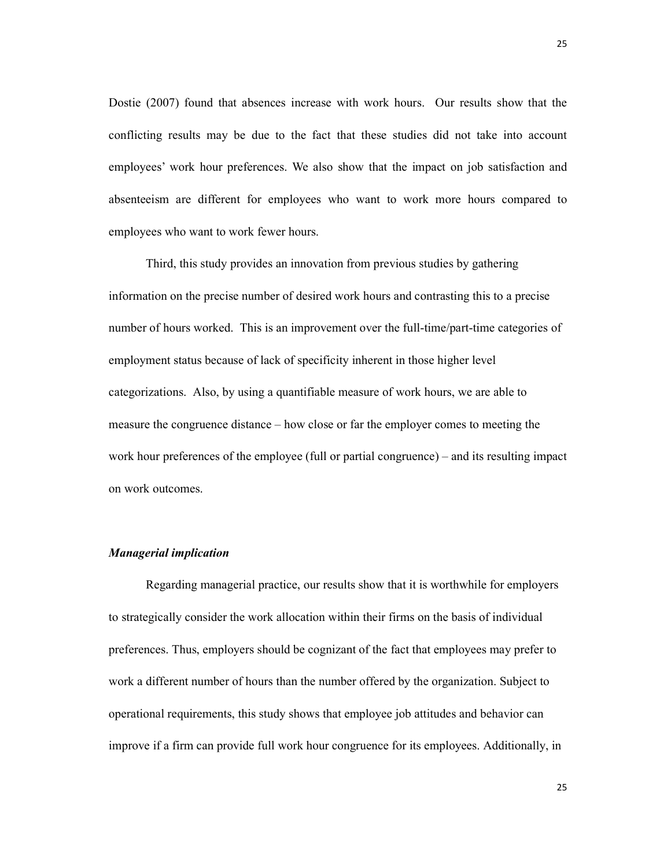Dostie (2007) found that absences increase with work hours. Our results show that the conflicting results may be due to the fact that these studies did not take into account employees' work hour preferences. We also show that the impact on job satisfaction and absenteeism are different for employees who want to work more hours compared to employees who want to work fewer hours.

Third, this study provides an innovation from previous studies by gathering information on the precise number of desired work hours and contrasting this to a precise number of hours worked. This is an improvement over the full-time/part-time categories of employment status because of lack of specificity inherent in those higher level categorizations. Also, by using a quantifiable measure of work hours, we are able to measure the congruence distance – how close or far the employer comes to meeting the work hour preferences of the employee (full or partial congruence) – and its resulting impact on work outcomes.

#### Managerial implication

Regarding managerial practice, our results show that it is worthwhile for employers to strategically consider the work allocation within their firms on the basis of individual preferences. Thus, employers should be cognizant of the fact that employees may prefer to work a different number of hours than the number offered by the organization. Subject to operational requirements, this study shows that employee job attitudes and behavior can improve if a firm can provide full work hour congruence for its employees. Additionally, in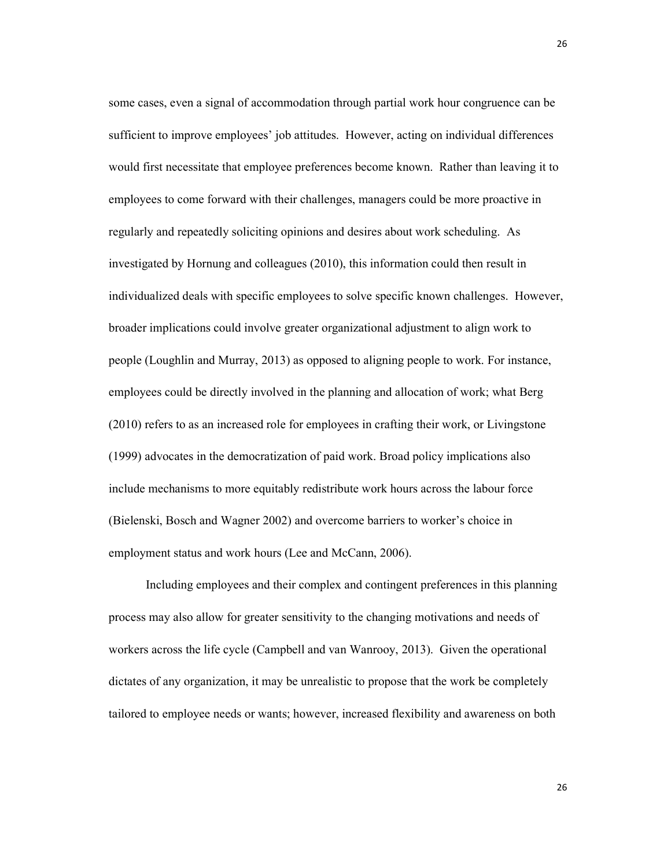some cases, even a signal of accommodation through partial work hour congruence can be sufficient to improve employees' job attitudes. However, acting on individual differences would first necessitate that employee preferences become known. Rather than leaving it to employees to come forward with their challenges, managers could be more proactive in regularly and repeatedly soliciting opinions and desires about work scheduling. As investigated by Hornung and colleagues (2010), this information could then result in individualized deals with specific employees to solve specific known challenges. However, broader implications could involve greater organizational adjustment to align work to people (Loughlin and Murray, 2013) as opposed to aligning people to work. For instance, employees could be directly involved in the planning and allocation of work; what Berg (2010) refers to as an increased role for employees in crafting their work, or Livingstone (1999) advocates in the democratization of paid work. Broad policy implications also include mechanisms to more equitably redistribute work hours across the labour force (Bielenski, Bosch and Wagner 2002) and overcome barriers to worker's choice in employment status and work hours (Lee and McCann, 2006).

Including employees and their complex and contingent preferences in this planning process may also allow for greater sensitivity to the changing motivations and needs of workers across the life cycle (Campbell and van Wanrooy, 2013). Given the operational dictates of any organization, it may be unrealistic to propose that the work be completely tailored to employee needs or wants; however, increased flexibility and awareness on both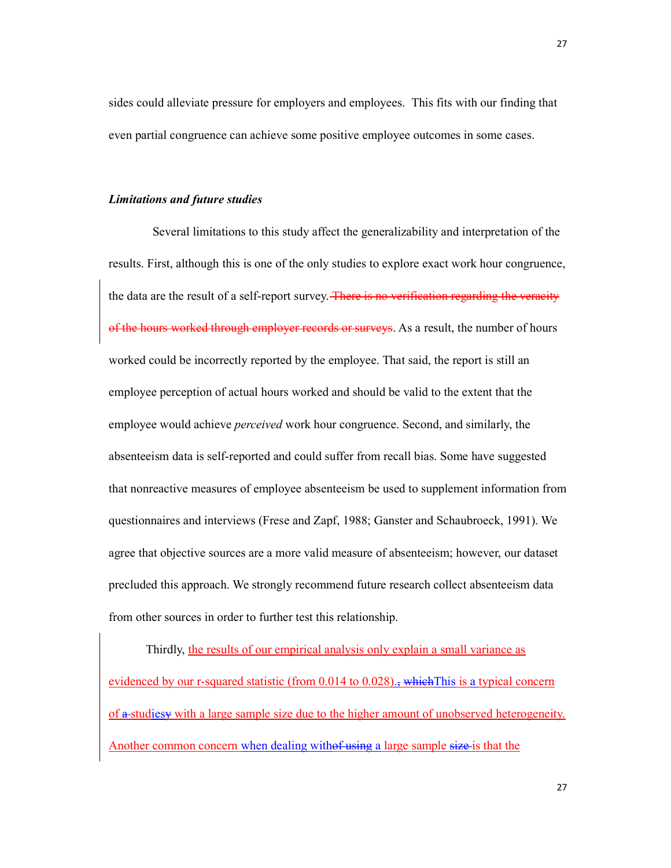sides could alleviate pressure for employers and employees. This fits with our finding that even partial congruence can achieve some positive employee outcomes in some cases.

#### Limitations and future studies

Several limitations to this study affect the generalizability and interpretation of the results. First, although this is one of the only studies to explore exact work hour congruence, the data are the result of a self-report survey. There is no verification regarding the veracity of the hours worked through employer records or surveys. As a result, the number of hours worked could be incorrectly reported by the employee. That said, the report is still an employee perception of actual hours worked and should be valid to the extent that the employee would achieve *perceived* work hour congruence. Second, and similarly, the absenteeism data is self-reported and could suffer from recall bias. Some have suggested that nonreactive measures of employee absenteeism be used to supplement information from questionnaires and interviews (Frese and Zapf, 1988; Ganster and Schaubroeck, 1991). We agree that objective sources are a more valid measure of absenteeism; however, our dataset precluded this approach. We strongly recommend future research collect absenteeism data from other sources in order to further test this relationship.

Thirdly, the results of our empirical analysis only explain a small variance as evidenced by our r-squared statistic (from 0.014 to 0.028)., which This is a typical concern of a studiesy with a large sample size due to the higher amount of unobserved heterogeneity. Another common concern when dealing withof using a large sample size is that the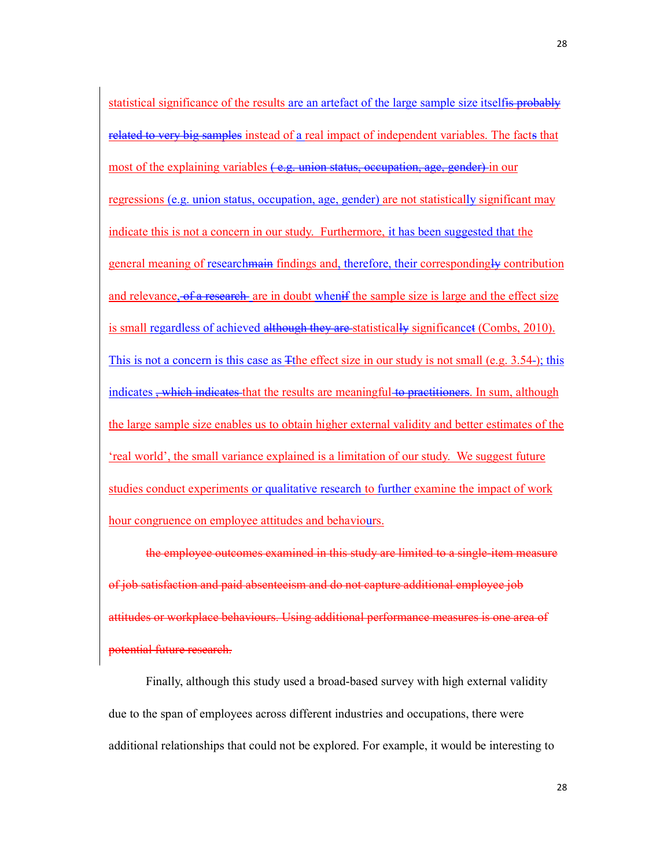statistical significance of the results are an artefact of the large sample size itselfis probably related to very big samples instead of a real impact of independent variables. The facts that most of the explaining variables (e.g. union status, occupation, age, gender) in our regressions (e.g. union status, occupation, age, gender) are not statistically significant may indicate this is not a concern in our study. Furthermore, it has been suggested that the general meaning of researchmain findings and, therefore, their correspondingly contribution and relevance, of a research are in doubt when if the sample size is large and the effect size is small regardless of achieved although they are statistically significancet (Combs, 2010). This is not a concern is this case as The effect size in our study is not small (e.g. 3.54-); this indicates, which indicates that the results are meaningful to practitioners. In sum, although the large sample size enables us to obtain higher external validity and better estimates of the 'real world', the small variance explained is a limitation of our study. We suggest future studies conduct experiments or qualitative research to further examine the impact of work hour congruence on employee attitudes and behaviours.

the employee outcomes examined in this study are limited to a single-item measure satisfaction and paid absenteeism and do not capture additional employee job attitudes or workplace behaviours. Using additional performance measures is one area of potential future research.

Finally, although this study used a broad-based survey with high external validity due to the span of employees across different industries and occupations, there were additional relationships that could not be explored. For example, it would be interesting to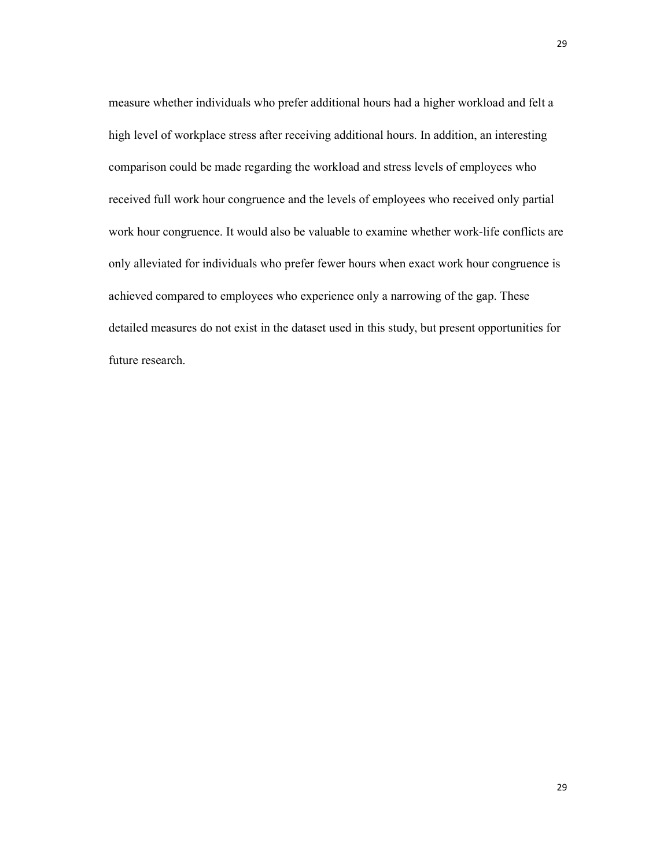measure whether individuals who prefer additional hours had a higher workload and felt a high level of workplace stress after receiving additional hours. In addition, an interesting comparison could be made regarding the workload and stress levels of employees who received full work hour congruence and the levels of employees who received only partial work hour congruence. It would also be valuable to examine whether work-life conflicts are only alleviated for individuals who prefer fewer hours when exact work hour congruence is achieved compared to employees who experience only a narrowing of the gap. These detailed measures do not exist in the dataset used in this study, but present opportunities for future research.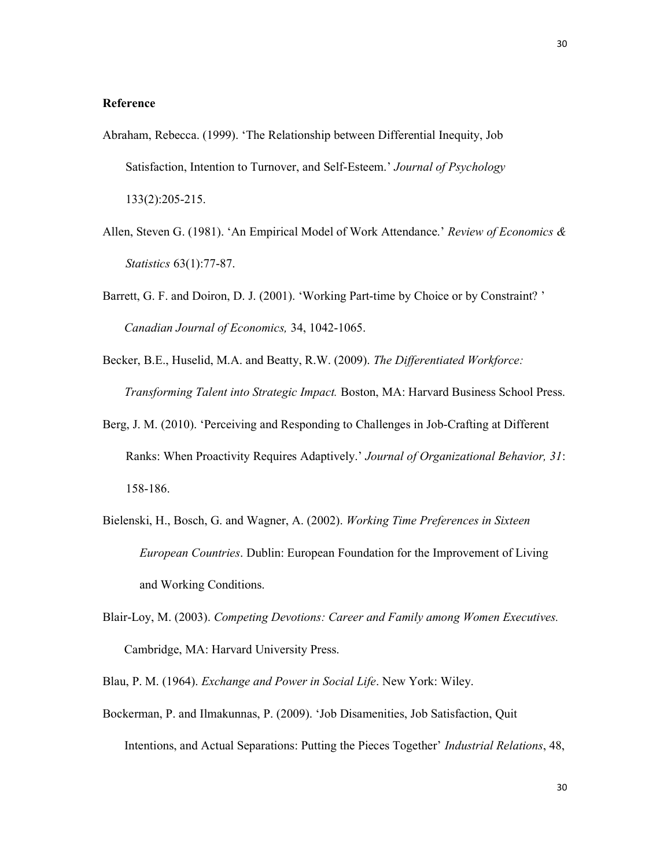# Reference

- Abraham, Rebecca. (1999). 'The Relationship between Differential Inequity, Job Satisfaction, Intention to Turnover, and Self-Esteem.' Journal of Psychology 133(2):205-215.
- Allen, Steven G. (1981). 'An Empirical Model of Work Attendance.' Review of Economics  $\&$ Statistics 63(1):77-87.
- Barrett, G. F. and Doiron, D. J. (2001). 'Working Part-time by Choice or by Constraint? ' Canadian Journal of Economics, 34, 1042-1065.
- Becker, B.E., Huselid, M.A. and Beatty, R.W. (2009). The Differentiated Workforce: Transforming Talent into Strategic Impact. Boston, MA: Harvard Business School Press.
- Berg, J. M. (2010). 'Perceiving and Responding to Challenges in Job-Crafting at Different Ranks: When Proactivity Requires Adaptively.' Journal of Organizational Behavior, 31: 158-186.
- Bielenski, H., Bosch, G. and Wagner, A. (2002). Working Time Preferences in Sixteen European Countries. Dublin: European Foundation for the Improvement of Living and Working Conditions.
- Blair-Loy, M. (2003). Competing Devotions: Career and Family among Women Executives. Cambridge, MA: Harvard University Press.
- Blau, P. M. (1964). Exchange and Power in Social Life. New York: Wiley.
- Bockerman, P. and Ilmakunnas, P. (2009). 'Job Disamenities, Job Satisfaction, Quit Intentions, and Actual Separations: Putting the Pieces Together' Industrial Relations, 48,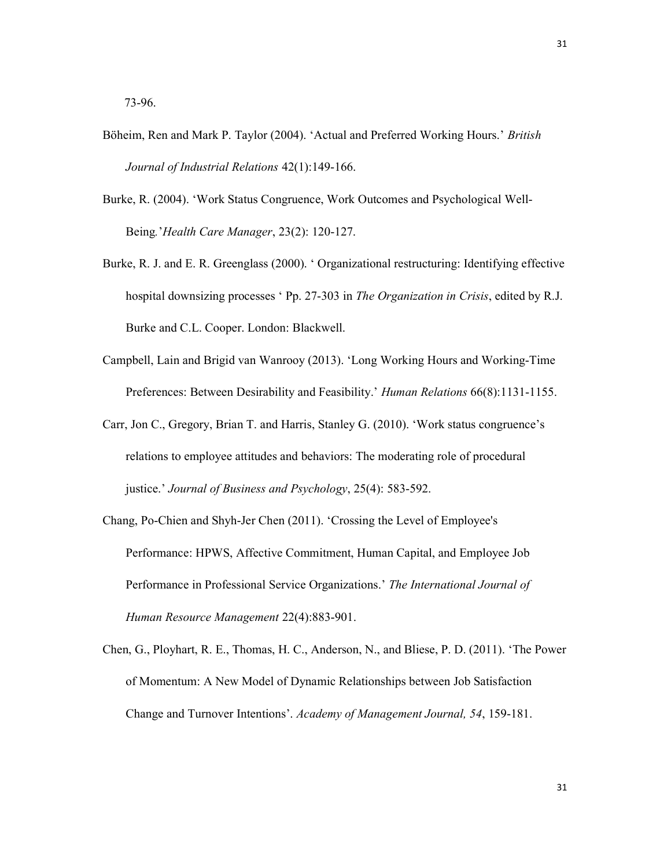73-96.

- Böheim, Ren and Mark P. Taylor (2004). 'Actual and Preferred Working Hours.' British Journal of Industrial Relations 42(1):149-166.
- Burke, R. (2004). 'Work Status Congruence, Work Outcomes and Psychological Well-Being.'Health Care Manager, 23(2): 120-127.
- Burke, R. J. and E. R. Greenglass (2000). ' Organizational restructuring: Identifying effective hospital downsizing processes ' Pp. 27-303 in The Organization in Crisis, edited by R.J. Burke and C.L. Cooper. London: Blackwell.
- Campbell, Lain and Brigid van Wanrooy (2013). 'Long Working Hours and Working-Time Preferences: Between Desirability and Feasibility.' Human Relations 66(8):1131-1155.
- Carr, Jon C., Gregory, Brian T. and Harris, Stanley G. (2010). 'Work status congruence's relations to employee attitudes and behaviors: The moderating role of procedural justice.' Journal of Business and Psychology, 25(4): 583-592.
- Chang, Po-Chien and Shyh-Jer Chen (2011). 'Crossing the Level of Employee's Performance: HPWS, Affective Commitment, Human Capital, and Employee Job Performance in Professional Service Organizations.' The International Journal of Human Resource Management 22(4):883-901.
- Chen, G., Ployhart, R. E., Thomas, H. C., Anderson, N., and Bliese, P. D. (2011). 'The Power of Momentum: A New Model of Dynamic Relationships between Job Satisfaction Change and Turnover Intentions'. Academy of Management Journal, 54, 159-181.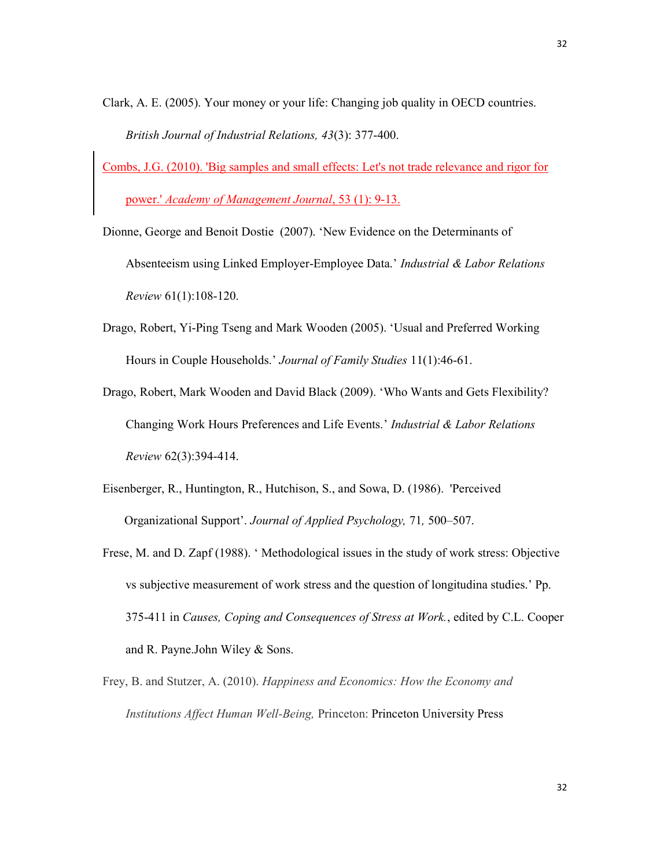- Clark, A. E. (2005). Your money or your life: Changing job quality in OECD countries. British Journal of Industrial Relations, 43(3): 377-400.
- Combs, J.G. (2010). 'Big samples and small effects: Let's not trade relevance and rigor for power.' Academy of Management Journal, 53 (1): 9-13.
- Dionne, George and Benoit Dostie (2007). 'New Evidence on the Determinants of Absenteeism using Linked Employer-Employee Data.' Industrial & Labor Relations Review 61(1):108-120.
- Drago, Robert, Yi-Ping Tseng and Mark Wooden (2005). 'Usual and Preferred Working Hours in Couple Households.' Journal of Family Studies 11(1):46-61.
- Drago, Robert, Mark Wooden and David Black (2009). 'Who Wants and Gets Flexibility? Changing Work Hours Preferences and Life Events.' Industrial & Labor Relations Review 62(3):394-414.
- Eisenberger, R., Huntington, R., Hutchison, S., and Sowa, D. (1986). 'Perceived Organizational Support'. Journal of Applied Psychology, 71, 500–507.
- Frese, M. and D. Zapf (1988). ' Methodological issues in the study of work stress: Objective vs subjective measurement of work stress and the question of longitudina studies.' Pp. 375-411 in Causes, Coping and Consequences of Stress at Work., edited by C.L. Cooper and R. Payne.John Wiley & Sons.
- Frey, B. and Stutzer, A. (2010). Happiness and Economics: How the Economy and Institutions Affect Human Well-Being, Princeton: Princeton University Press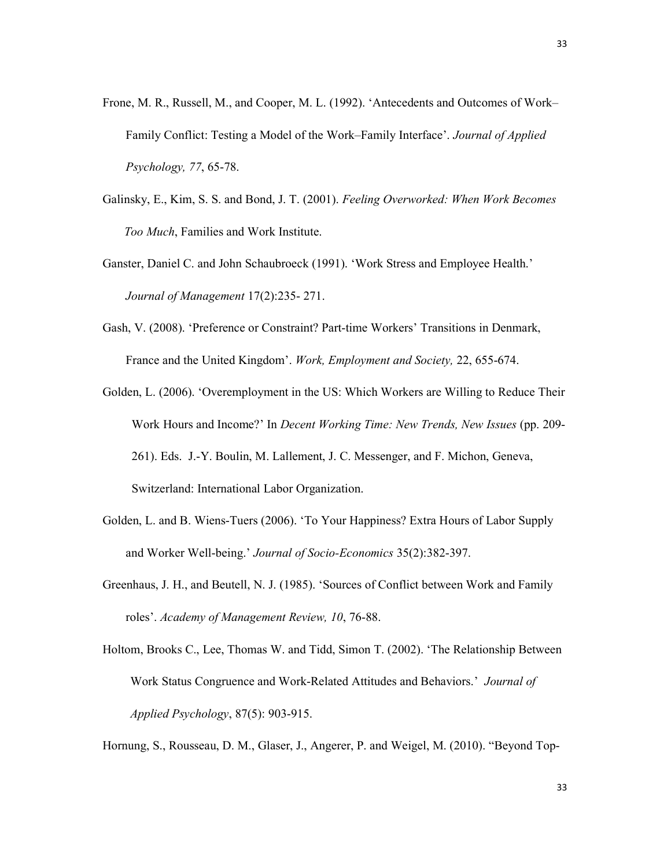- Frone, M. R., Russell, M., and Cooper, M. L. (1992). 'Antecedents and Outcomes of Work– Family Conflict: Testing a Model of the Work–Family Interface'. Journal of Applied Psychology, 77, 65-78.
- Galinsky, E., Kim, S. S. and Bond, J. T. (2001). Feeling Overworked: When Work Becomes Too Much, Families and Work Institute.
- Ganster, Daniel C. and John Schaubroeck (1991). 'Work Stress and Employee Health.' Journal of Management 17(2):235- 271.
- Gash, V. (2008). 'Preference or Constraint? Part-time Workers' Transitions in Denmark, France and the United Kingdom'. Work, Employment and Society, 22, 655-674.
- Golden, L. (2006). 'Overemployment in the US: Which Workers are Willing to Reduce Their Work Hours and Income?' In Decent Working Time: New Trends, New Issues (pp. 209- 261). Eds. J.-Y. Boulin, M. Lallement, J. C. Messenger, and F. Michon, Geneva, Switzerland: International Labor Organization.
- Golden, L. and B. Wiens-Tuers (2006). 'To Your Happiness? Extra Hours of Labor Supply and Worker Well-being.' Journal of Socio-Economics 35(2):382-397.
- Greenhaus, J. H., and Beutell, N. J. (1985). 'Sources of Conflict between Work and Family roles'. Academy of Management Review, 10, 76-88.
- Holtom, Brooks C., Lee, Thomas W. and Tidd, Simon T. (2002). 'The Relationship Between Work Status Congruence and Work-Related Attitudes and Behaviors.' Journal of Applied Psychology, 87(5): 903-915.

Hornung, S., Rousseau, D. M., Glaser, J., Angerer, P. and Weigel, M. (2010). "Beyond Top-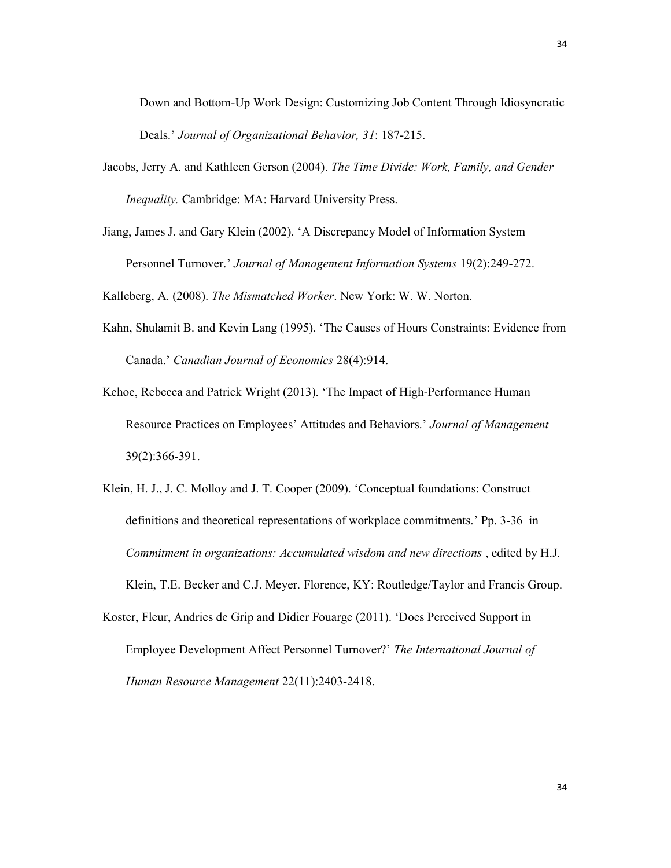Down and Bottom-Up Work Design: Customizing Job Content Through Idiosyncratic Deals.' Journal of Organizational Behavior, 31: 187-215.

- Jacobs, Jerry A. and Kathleen Gerson (2004). The Time Divide: Work, Family, and Gender Inequality. Cambridge: MA: Harvard University Press.
- Jiang, James J. and Gary Klein (2002). 'A Discrepancy Model of Information System Personnel Turnover.' Journal of Management Information Systems 19(2):249-272.

Kalleberg, A. (2008). The Mismatched Worker. New York: W. W. Norton.

- Kahn, Shulamit B. and Kevin Lang (1995). 'The Causes of Hours Constraints: Evidence from Canada.' Canadian Journal of Economics 28(4):914.
- Kehoe, Rebecca and Patrick Wright (2013). 'The Impact of High-Performance Human Resource Practices on Employees' Attitudes and Behaviors.' Journal of Management 39(2):366-391.
- Klein, H. J., J. C. Molloy and J. T. Cooper (2009). 'Conceptual foundations: Construct definitions and theoretical representations of workplace commitments.' Pp. 3-36 in Commitment in organizations: Accumulated wisdom and new directions , edited by H.J. Klein, T.E. Becker and C.J. Meyer. Florence, KY: Routledge/Taylor and Francis Group.
- Koster, Fleur, Andries de Grip and Didier Fouarge (2011). 'Does Perceived Support in Employee Development Affect Personnel Turnover?' The International Journal of Human Resource Management 22(11):2403-2418.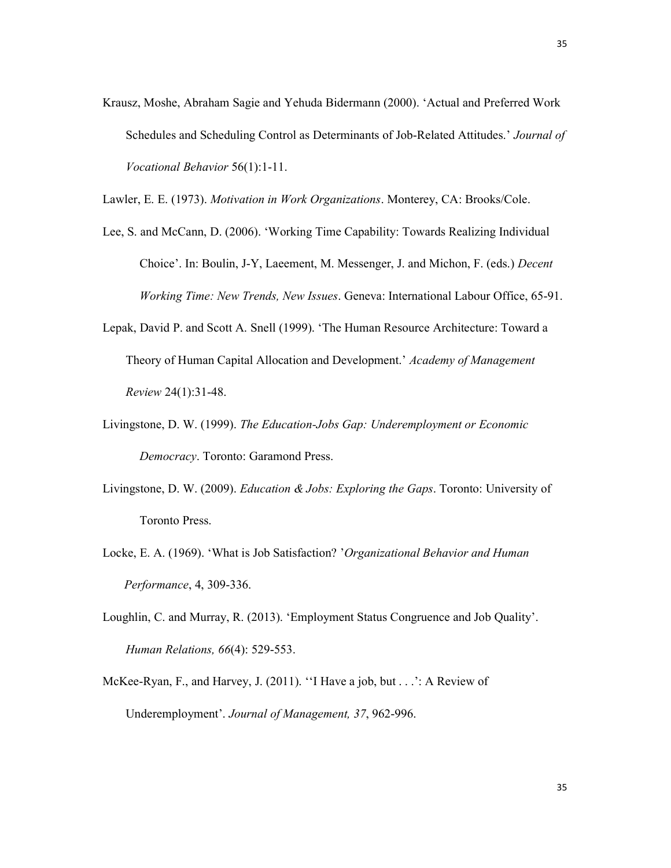Krausz, Moshe, Abraham Sagie and Yehuda Bidermann (2000). 'Actual and Preferred Work Schedules and Scheduling Control as Determinants of Job-Related Attitudes.' Journal of Vocational Behavior 56(1):1-11.

Lawler, E. E. (1973). Motivation in Work Organizations. Monterey, CA: Brooks/Cole.

- Lee, S. and McCann, D. (2006). 'Working Time Capability: Towards Realizing Individual Choice'. In: Boulin, J-Y, Laeement, M. Messenger, J. and Michon, F. (eds.) Decent Working Time: New Trends, New Issues. Geneva: International Labour Office, 65-91.
- Lepak, David P. and Scott A. Snell (1999). 'The Human Resource Architecture: Toward a Theory of Human Capital Allocation and Development.' Academy of Management Review 24(1):31-48.
- Livingstone, D. W. (1999). The Education-Jobs Gap: Underemployment or Economic Democracy. Toronto: Garamond Press.
- Livingstone, D. W. (2009). *Education & Jobs: Exploring the Gaps*. Toronto: University of Toronto Press.
- Locke, E. A. (1969). 'What is Job Satisfaction? 'Organizational Behavior and Human Performance, 4, 309-336.
- Loughlin, C. and Murray, R. (2013). 'Employment Status Congruence and Job Quality'. Human Relations, 66(4): 529-553.
- McKee-Ryan, F., and Harvey, J. (2011). ''I Have a job, but . . .': A Review of Underemployment'. Journal of Management, 37, 962-996.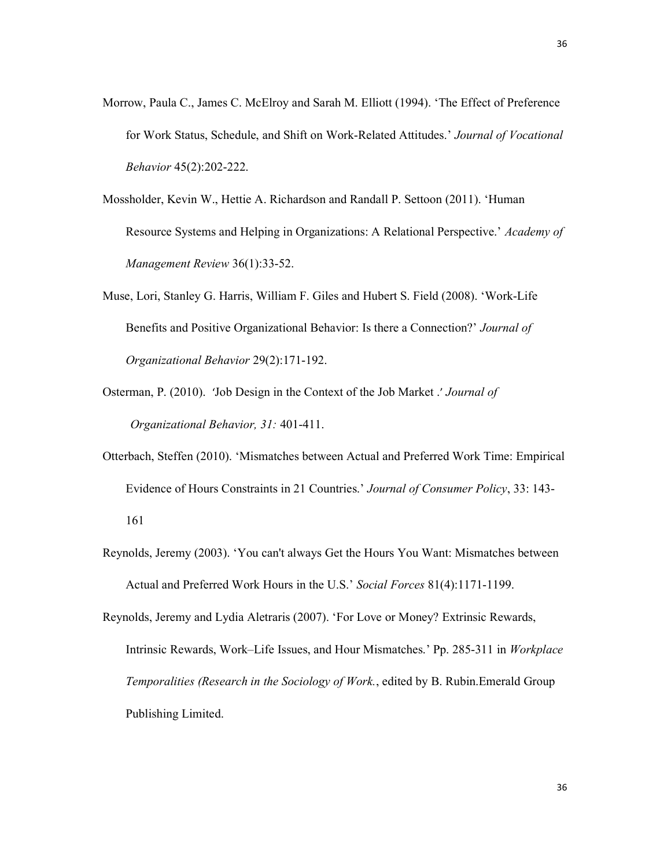- Morrow, Paula C., James C. McElroy and Sarah M. Elliott (1994). 'The Effect of Preference for Work Status, Schedule, and Shift on Work-Related Attitudes.' Journal of Vocational Behavior 45(2):202-222.
- Mossholder, Kevin W., Hettie A. Richardson and Randall P. Settoon (2011). 'Human Resource Systems and Helping in Organizations: A Relational Perspective.' Academy of Management Review 36(1):33-52.
- Muse, Lori, Stanley G. Harris, William F. Giles and Hubert S. Field (2008). 'Work-Life Benefits and Positive Organizational Behavior: Is there a Connection?' Journal of Organizational Behavior 29(2):171-192.
- Osterman, P. (2010). 'Job Design in the Context of the Job Market .' Journal of Organizational Behavior, 31: 401-411.
- Otterbach, Steffen (2010). 'Mismatches between Actual and Preferred Work Time: Empirical Evidence of Hours Constraints in 21 Countries.' Journal of Consumer Policy, 33: 143- 161
- Reynolds, Jeremy (2003). 'You can't always Get the Hours You Want: Mismatches between Actual and Preferred Work Hours in the U.S.' Social Forces 81(4):1171-1199.
- Reynolds, Jeremy and Lydia Aletraris (2007). 'For Love or Money? Extrinsic Rewards, Intrinsic Rewards, Work–Life Issues, and Hour Mismatches.' Pp. 285-311 in Workplace Temporalities (Research in the Sociology of Work., edited by B. Rubin.Emerald Group Publishing Limited.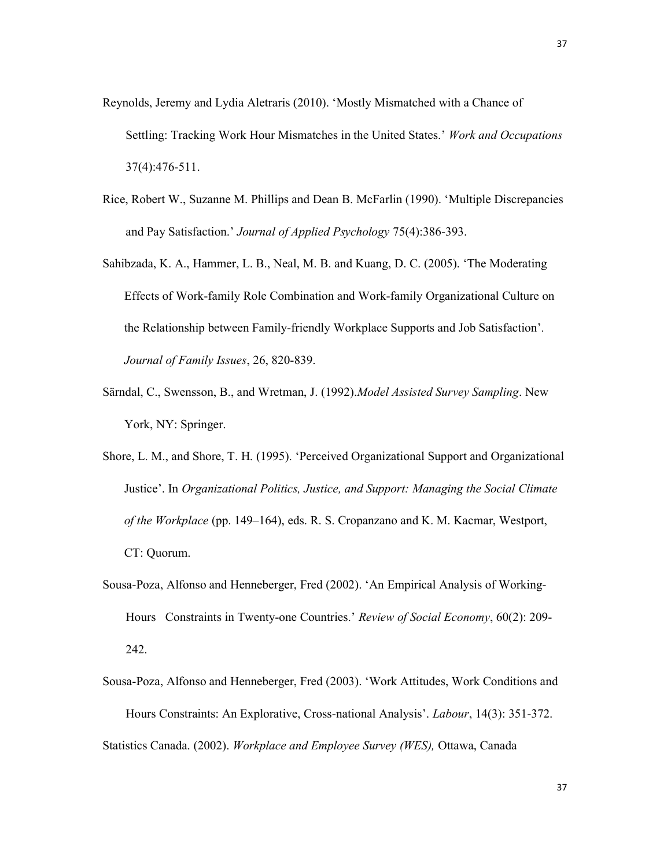- Reynolds, Jeremy and Lydia Aletraris (2010). 'Mostly Mismatched with a Chance of Settling: Tracking Work Hour Mismatches in the United States.' Work and Occupations 37(4):476-511.
- Rice, Robert W., Suzanne M. Phillips and Dean B. McFarlin (1990). 'Multiple Discrepancies and Pay Satisfaction.' Journal of Applied Psychology 75(4):386-393.
- Sahibzada, K. A., Hammer, L. B., Neal, M. B. and Kuang, D. C. (2005). 'The Moderating Effects of Work-family Role Combination and Work-family Organizational Culture on the Relationship between Family-friendly Workplace Supports and Job Satisfaction'. Journal of Family Issues, 26, 820-839.
- Särndal, C., Swensson, B., and Wretman, J. (1992). Model Assisted Survey Sampling. New York, NY: Springer.
- Shore, L. M., and Shore, T. H. (1995). 'Perceived Organizational Support and Organizational Justice'. In Organizational Politics, Justice, and Support: Managing the Social Climate of the Workplace (pp. 149–164), eds. R. S. Cropanzano and K. M. Kacmar, Westport, CT: Quorum.
- Sousa-Poza, Alfonso and Henneberger, Fred (2002). 'An Empirical Analysis of Working-Hours Constraints in Twenty-one Countries.' Review of Social Economy, 60(2): 209- 242.
- Sousa-Poza, Alfonso and Henneberger, Fred (2003). 'Work Attitudes, Work Conditions and Hours Constraints: An Explorative, Cross-national Analysis'. Labour, 14(3): 351-372. Statistics Canada. (2002). Workplace and Employee Survey (WES), Ottawa, Canada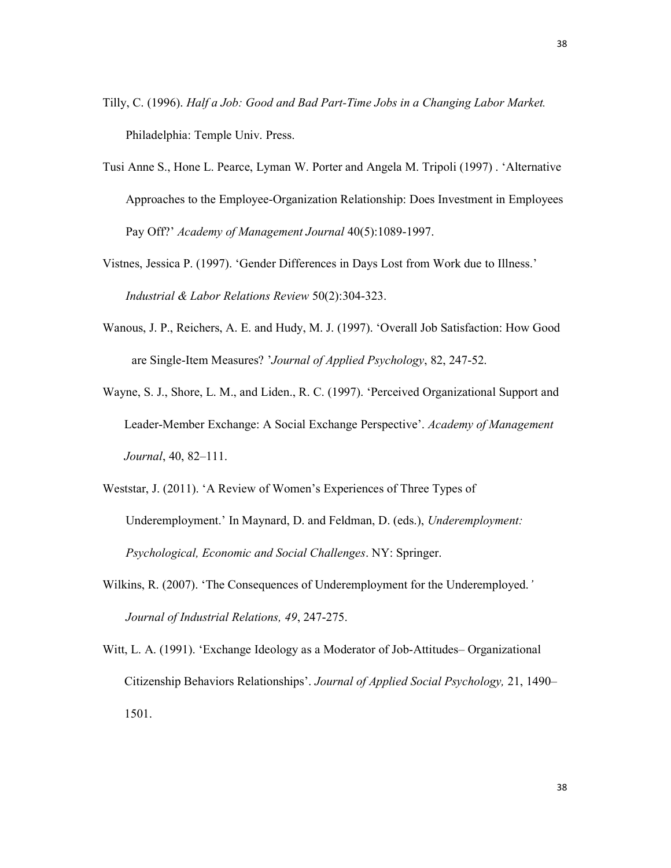- Tilly, C. (1996). Half a Job: Good and Bad Part-Time Jobs in a Changing Labor Market. Philadelphia: Temple Univ. Press.
- Tusi Anne S., Hone L. Pearce, Lyman W. Porter and Angela M. Tripoli (1997) . 'Alternative Approaches to the Employee-Organization Relationship: Does Investment in Employees Pay Off?' Academy of Management Journal 40(5):1089-1997.
- Vistnes, Jessica P. (1997). 'Gender Differences in Days Lost from Work due to Illness.' Industrial & Labor Relations Review 50(2):304-323.
- Wanous, J. P., Reichers, A. E. and Hudy, M. J. (1997). 'Overall Job Satisfaction: How Good are Single-Item Measures? 'Journal of Applied Psychology, 82, 247-52.
- Wayne, S. J., Shore, L. M., and Liden., R. C. (1997). 'Perceived Organizational Support and Leader-Member Exchange: A Social Exchange Perspective'. Academy of Management Journal, 40, 82–111.
- Weststar, J. (2011). 'A Review of Women's Experiences of Three Types of Underemployment.' In Maynard, D. and Feldman, D. (eds.), Underemployment: Psychological, Economic and Social Challenges. NY: Springer.
- Wilkins, R. (2007). 'The Consequences of Underemployment for the Underemployed.' Journal of Industrial Relations, 49, 247-275.
- Witt, L. A. (1991). 'Exchange Ideology as a Moderator of Job-Attitudes– Organizational Citizenship Behaviors Relationships'. Journal of Applied Social Psychology, 21, 1490– 1501.